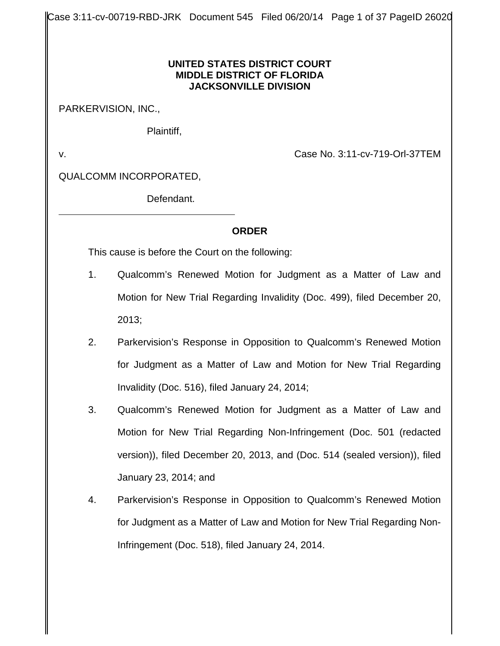Case 3:11-cv-00719-RBD-JRK Document 545 Filed 06/20/14 Page 1 of 37 PageID 26020

#### **UNITED STATES DISTRICT COURT MIDDLE DISTRICT OF FLORIDA JACKSONVILLE DIVISION**

PARKERVISION, INC.,

Plaintiff,

v. Case No. 3:11-cv-719-Orl-37TEM

QUALCOMM INCORPORATED,

Defendant.

## **ORDER**

This cause is before the Court on the following:

- 1. Qualcomm's Renewed Motion for Judgment as a Matter of Law and Motion for New Trial Regarding Invalidity (Doc. 499), filed December 20, 2013;
- 2. Parkervision's Response in Opposition to Qualcomm's Renewed Motion for Judgment as a Matter of Law and Motion for New Trial Regarding Invalidity (Doc. 516), filed January 24, 2014;
- 3. Qualcomm's Renewed Motion for Judgment as a Matter of Law and Motion for New Trial Regarding Non-Infringement (Doc. 501 (redacted version)), filed December 20, 2013, and (Doc. 514 (sealed version)), filed January 23, 2014; and
- 4. Parkervision's Response in Opposition to Qualcomm's Renewed Motion for Judgment as a Matter of Law and Motion for New Trial Regarding Non-Infringement (Doc. 518), filed January 24, 2014.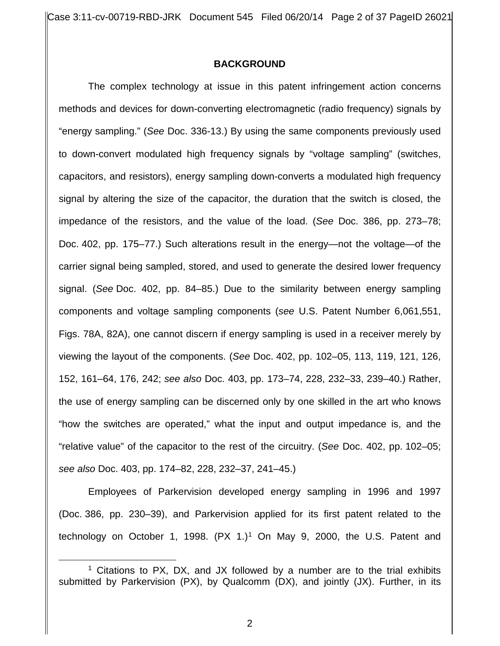Case 3:11-cv-00719-RBD-JRK Document 545 Filed 06/20/14 Page 2 of 37 PageID 26021

#### **BACKGROUND**

The complex technology at issue in this patent infringement action concerns methods and devices for down-converting electromagnetic (radio frequency) signals by "energy sampling." (*See* Doc. 336-13.) By using the same components previously used to down-convert modulated high frequency signals by "voltage sampling" (switches, capacitors, and resistors), energy sampling down-converts a modulated high frequency signal by altering the size of the capacitor, the duration that the switch is closed, the impedance of the resistors, and the value of the load. (*See* Doc. 386, pp. 273–78; Doc. 402, pp. 175–77.) Such alterations result in the energy—not the voltage—of the carrier signal being sampled, stored, and used to generate the desired lower frequency signal. (*See* Doc. 402, pp. 84–85.) Due to the similarity between energy sampling components and voltage sampling components (*see* U.S. Patent Number 6,061,551, Figs. 78A, 82A), one cannot discern if energy sampling is used in a receiver merely by viewing the layout of the components. (*See* Doc. 402, pp. 102–05, 113, 119, 121, 126, 152, 161–64, 176, 242; *see also* Doc. 403, pp. 173–74, 228, 232–33, 239–40.) Rather, the use of energy sampling can be discerned only by one skilled in the art who knows "how the switches are operated," what the input and output impedance is, and the "relative value" of the capacitor to the rest of the circuitry. (*See* Doc. 402, pp. 102–05; *see also* Doc. 403, pp. 174–82, 228, 232–37, 241–45.)

Employees of Parkervision developed energy sampling in 1996 and 1997 (Doc. 386, pp. 230–39), and Parkervision applied for its first patent related to the technology on October 1, 1998.  $(PX 1.)<sup>1</sup>$  On May 9, 2000, the U.S. Patent and

 $\overline{a}$ 

<sup>&</sup>lt;sup>1</sup> Citations to PX, DX, and JX followed by a number are to the trial exhibits submitted by Parkervision (PX), by Qualcomm (DX), and jointly (JX). Further, in its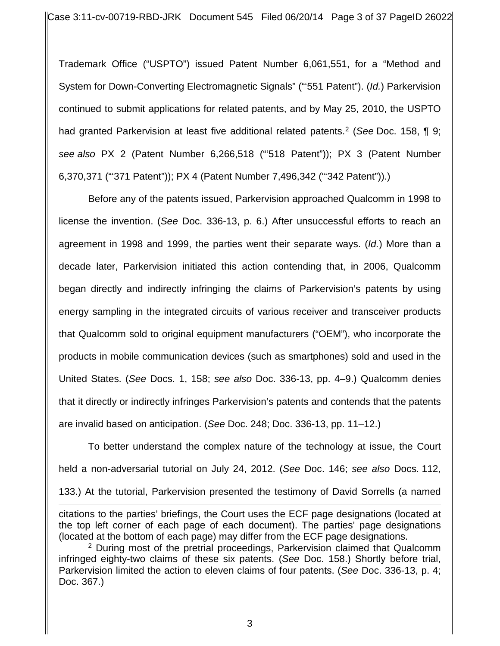Trademark Office ("USPTO") issued Patent Number 6,061,551, for a "Method and System for Down-Converting Electromagnetic Signals" ("'551 Patent"). (*Id.*) Parkervision continued to submit applications for related patents, and by May 25, 2010, the USPTO had granted Parkervision at least five additional related patents.2 (*See* Doc. 158, ¶ 9; *see also* PX 2 (Patent Number 6,266,518 ("'518 Patent")); PX 3 (Patent Number 6,370,371 ("'371 Patent")); PX 4 (Patent Number 7,496,342 ("'342 Patent")).)

Before any of the patents issued, Parkervision approached Qualcomm in 1998 to license the invention. (*See* Doc. 336-13, p. 6.) After unsuccessful efforts to reach an agreement in 1998 and 1999, the parties went their separate ways. (*Id.*) More than a decade later, Parkervision initiated this action contending that, in 2006, Qualcomm began directly and indirectly infringing the claims of Parkervision's patents by using energy sampling in the integrated circuits of various receiver and transceiver products that Qualcomm sold to original equipment manufacturers ("OEM"), who incorporate the products in mobile communication devices (such as smartphones) sold and used in the United States. (*See* Docs. 1, 158; *see also* Doc. 336-13, pp. 4–9.) Qualcomm denies that it directly or indirectly infringes Parkervision's patents and contends that the patents are invalid based on anticipation. (*See* Doc. 248; Doc. 336-13, pp. 11–12.)

To better understand the complex nature of the technology at issue, the Court held a non-adversarial tutorial on July 24, 2012. (*See* Doc. 146; *see also* Docs. 112, 133.) At the tutorial, Parkervision presented the testimony of David Sorrells (a named

citations to the parties' briefings, the Court uses the ECF page designations (located at the top left corner of each page of each document). The parties' page designations (located at the bottom of each page) may differ from the ECF page designations.  $\overline{a}$ 

<sup>2</sup> During most of the pretrial proceedings, Parkervision claimed that Qualcomm infringed eighty-two claims of these six patents. (*See* Doc. 158.) Shortly before trial, Parkervision limited the action to eleven claims of four patents. (*See* Doc. 336-13, p. 4; Doc. 367.)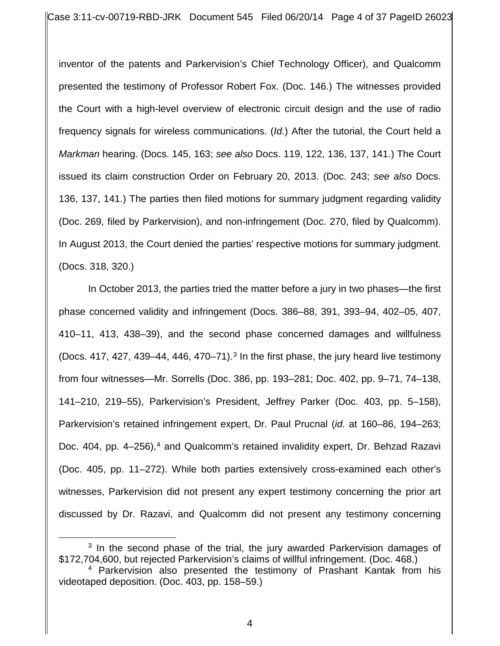inventor of the patents and Parkervision's Chief Technology Officer), and Qualcomm presented the testimony of Professor Robert Fox. (Doc. 146.) The witnesses provided the Court with a high-level overview of electronic circuit design and the use of radio frequency signals for wireless communications. (*Id.*) After the tutorial, the Court held a *Markman* hearing. (Docs. 145, 163; *see also* Docs. 119, 122, 136, 137, 141.) The Court issued its claim construction Order on February 20, 2013. (Doc. 243; *see also* Docs. 136, 137, 141.) The parties then filed motions for summary judgment regarding validity (Doc. 269, filed by Parkervision), and non-infringement (Doc. 270, filed by Qualcomm). In August 2013, the Court denied the parties' respective motions for summary judgment. (Docs. 318, 320.)

In October 2013, the parties tried the matter before a jury in two phases—the first phase concerned validity and infringement (Docs. 386–88, 391, 393–94, 402–05, 407, 410–11, 413, 438–39), and the second phase concerned damages and willfulness (Docs. 417, 427, 439–44, 446, 470–71). <sup>3</sup> In the first phase, the jury heard live testimony from four witnesses—Mr. Sorrells (Doc. 386, pp. 193–281; Doc. 402, pp. 9–71, 74–138, 141–210, 219–55), Parkervision's President, Jeffrey Parker (Doc. 403, pp. 5–158), Parkervision's retained infringement expert, Dr. Paul Prucnal (*id.* at 160–86, 194–263; Doc. 404, pp. 4–256),<sup>4</sup> and Qualcomm's retained invalidity expert, Dr. Behzad Razavi (Doc. 405, pp. 11–272). While both parties extensively cross-examined each other's witnesses, Parkervision did not present any expert testimony concerning the prior art discussed by Dr. Razavi, and Qualcomm did not present any testimony concerning

 $\overline{a}$ 

<sup>&</sup>lt;sup>3</sup> In the second phase of the trial, the jury awarded Parkervision damages of \$172,704,600, but rejected Parkervision's claims of willful infringement. (Doc. 468.)

<sup>4</sup> Parkervision also presented the testimony of Prashant Kantak from his videotaped deposition. (Doc. 403, pp. 158–59.)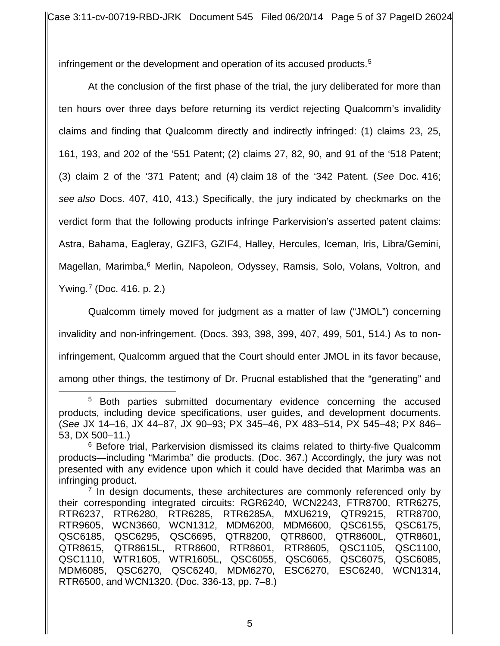infringement or the development and operation of its accused products.<sup>5</sup>

At the conclusion of the first phase of the trial, the jury deliberated for more than ten hours over three days before returning its verdict rejecting Qualcomm's invalidity claims and finding that Qualcomm directly and indirectly infringed: (1) claims 23, 25, 161, 193, and 202 of the '551 Patent; (2) claims 27, 82, 90, and 91 of the '518 Patent; (3) claim 2 of the '371 Patent; and (4) claim 18 of the '342 Patent. (*See* Doc. 416; *see also* Docs. 407, 410, 413.) Specifically, the jury indicated by checkmarks on the verdict form that the following products infringe Parkervision's asserted patent claims: Astra, Bahama, Eagleray, GZIF3, GZIF4, Halley, Hercules, Iceman, Iris, Libra/Gemini, Magellan, Marimba,<sup>6</sup> Merlin, Napoleon, Odyssey, Ramsis, Solo, Volans, Voltron, and Ywing.<sup>7</sup> (Doc. 416, p. 2.)

Qualcomm timely moved for judgment as a matter of law ("JMOL") concerning invalidity and non-infringement. (Docs. 393, 398, 399, 407, 499, 501, 514.) As to noninfringement, Qualcomm argued that the Court should enter JMOL in its favor because, among other things, the testimony of Dr. Prucnal established that the "generating" and

<sup>&</sup>lt;sup>5</sup> Both parties submitted documentary evidence concerning the accused products, including device specifications, user guides, and development documents. (*See* JX 14–16, JX 44–87, JX 90–93; PX 345–46, PX 483–514, PX 545–48; PX 846– 53, DX 500–11.)  $\overline{a}$ 

<sup>&</sup>lt;sup>6</sup> Before trial, Parkervision dismissed its claims related to thirty-five Qualcomm products—including "Marimba" die products. (Doc. 367.) Accordingly, the jury was not presented with any evidence upon which it could have decided that Marimba was an infringing product.

 $<sup>7</sup>$  In design documents, these architectures are commonly referenced only by</sup> their corresponding integrated circuits: RGR6240, WCN2243, FTR8700, RTR6275, RTR6237, RTR6280, RTR6285, RTR6285A, MXU6219, QTR9215, RTR8700, RTR9605, WCN3660, WCN1312, MDM6200, MDM6600, QSC6155, QSC6175, QSC6185, QSC6295, QSC6695, QTR8200, QTR8600, QTR8600L, QTR8601, QTR8615, QTR8615L, RTR8600, RTR8601, RTR8605, QSC1105, QSC1100, QSC1110, WTR1605, WTR1605L, QSC6055, QSC6065, QSC6075, QSC6085, MDM6085, QSC6270, QSC6240, MDM6270, ESC6270, ESC6240, WCN1314, RTR6500, and WCN1320. (Doc. 336-13, pp. 7–8.)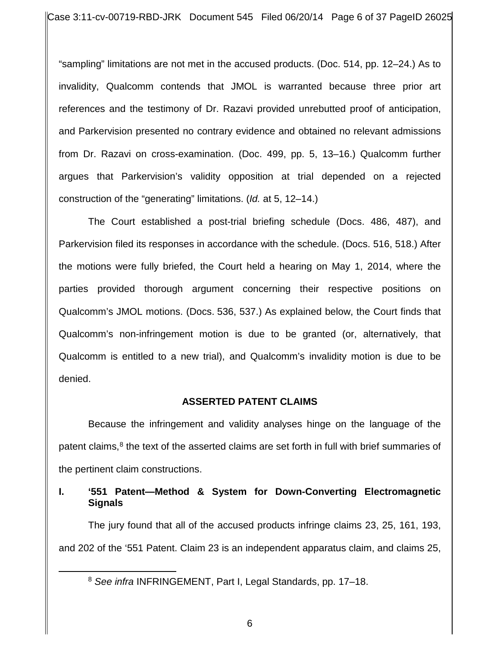Case 3:11-cv-00719-RBD-JRK Document 545 Filed 06/20/14 Page 6 of 37 PageID 26025

"sampling" limitations are not met in the accused products. (Doc. 514, pp. 12–24.) As to invalidity, Qualcomm contends that JMOL is warranted because three prior art references and the testimony of Dr. Razavi provided unrebutted proof of anticipation, and Parkervision presented no contrary evidence and obtained no relevant admissions from Dr. Razavi on cross-examination. (Doc. 499, pp. 5, 13–16.) Qualcomm further argues that Parkervision's validity opposition at trial depended on a rejected construction of the "generating" limitations. (*Id.* at 5, 12–14.)

The Court established a post-trial briefing schedule (Docs. 486, 487), and Parkervision filed its responses in accordance with the schedule. (Docs. 516, 518.) After the motions were fully briefed, the Court held a hearing on May 1, 2014, where the parties provided thorough argument concerning their respective positions on Qualcomm's JMOL motions. (Docs. 536, 537.) As explained below, the Court finds that Qualcomm's non-infringement motion is due to be granted (or, alternatively, that Qualcomm is entitled to a new trial), and Qualcomm's invalidity motion is due to be denied.

## **ASSERTED PATENT CLAIMS**

Because the infringement and validity analyses hinge on the language of the patent claims, $8$  the text of the asserted claims are set forth in full with brief summaries of the pertinent claim constructions.

# **I. '551 Patent—Method & System for Down-Converting Electromagnetic Signals**

The jury found that all of the accused products infringe claims 23, 25, 161, 193, and 202 of the '551 Patent. Claim 23 is an independent apparatus claim, and claims 25,

 $\overline{a}$ 

<sup>8</sup> *See infra* INFRINGEMENT, Part I, Legal Standards, pp. 17–18.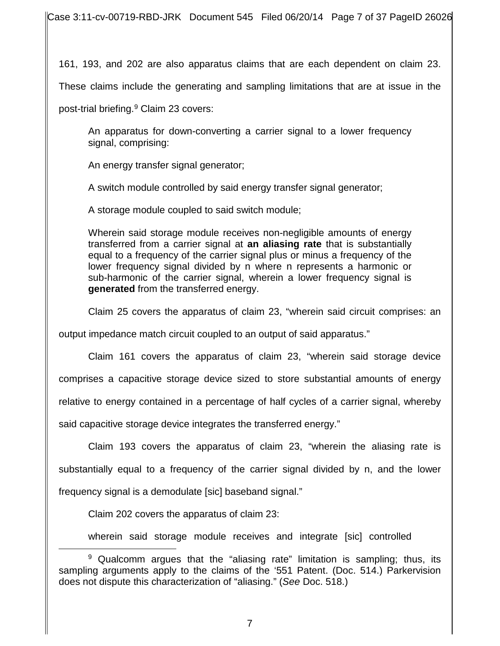Case 3:11-cv-00719-RBD-JRK Document 545 Filed 06/20/14 Page 7 of 37 PageID 26026

161, 193, and 202 are also apparatus claims that are each dependent on claim 23.

These claims include the generating and sampling limitations that are at issue in the

post-trial briefing.9 Claim 23 covers:

An apparatus for down-converting a carrier signal to a lower frequency signal, comprising:

An energy transfer signal generator;

A switch module controlled by said energy transfer signal generator;

A storage module coupled to said switch module;

Wherein said storage module receives non-negligible amounts of energy transferred from a carrier signal at **an aliasing rate** that is substantially equal to a frequency of the carrier signal plus or minus a frequency of the lower frequency signal divided by n where n represents a harmonic or sub-harmonic of the carrier signal, wherein a lower frequency signal is **generated** from the transferred energy.

Claim 25 covers the apparatus of claim 23, "wherein said circuit comprises: an

output impedance match circuit coupled to an output of said apparatus."

Claim 161 covers the apparatus of claim 23, "wherein said storage device comprises a capacitive storage device sized to store substantial amounts of energy relative to energy contained in a percentage of half cycles of a carrier signal, whereby said capacitive storage device integrates the transferred energy."

Claim 193 covers the apparatus of claim 23, "wherein the aliasing rate is substantially equal to a frequency of the carrier signal divided by n, and the lower frequency signal is a demodulate [sic] baseband signal."

Claim 202 covers the apparatus of claim 23:

wherein said storage module receives and integrate [sic] controlled

<sup>&</sup>lt;sup>9</sup> Qualcomm argues that the "aliasing rate" limitation is sampling; thus, its sampling arguments apply to the claims of the '551 Patent. (Doc. 514.) Parkervision does not dispute this characterization of "aliasing." (*See* Doc. 518.)  $\overline{a}$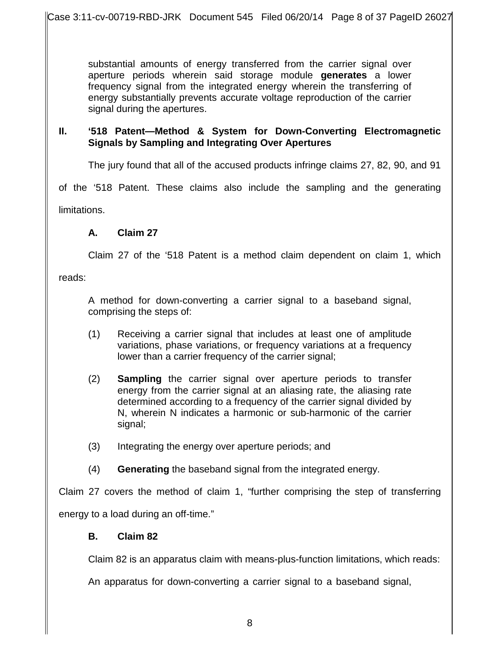substantial amounts of energy transferred from the carrier signal over aperture periods wherein said storage module **generates** a lower frequency signal from the integrated energy wherein the transferring of energy substantially prevents accurate voltage reproduction of the carrier signal during the apertures.

# **II. '518 Patent—Method & System for Down-Converting Electromagnetic Signals by Sampling and Integrating Over Apertures**

The jury found that all of the accused products infringe claims 27, 82, 90, and 91

of the '518 Patent. These claims also include the sampling and the generating

limitations.

# **A. Claim 27**

Claim 27 of the '518 Patent is a method claim dependent on claim 1, which

reads:

A method for down-converting a carrier signal to a baseband signal, comprising the steps of:

- (1) Receiving a carrier signal that includes at least one of amplitude variations, phase variations, or frequency variations at a frequency lower than a carrier frequency of the carrier signal;
- (2) **Sampling** the carrier signal over aperture periods to transfer energy from the carrier signal at an aliasing rate, the aliasing rate determined according to a frequency of the carrier signal divided by N, wherein N indicates a harmonic or sub-harmonic of the carrier signal;
- (3) Integrating the energy over aperture periods; and
- (4) **Generating** the baseband signal from the integrated energy.

Claim 27 covers the method of claim 1, "further comprising the step of transferring energy to a load during an off-time."

## **B. Claim 82**

Claim 82 is an apparatus claim with means-plus-function limitations, which reads:

An apparatus for down-converting a carrier signal to a baseband signal,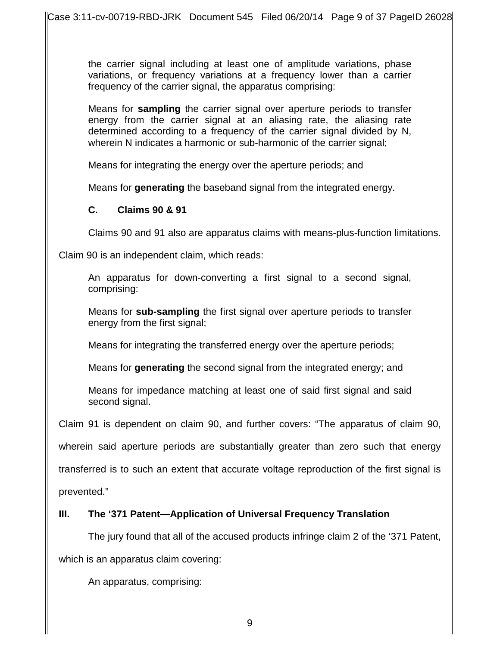the carrier signal including at least one of amplitude variations, phase variations, or frequency variations at a frequency lower than a carrier frequency of the carrier signal, the apparatus comprising:

Means for **sampling** the carrier signal over aperture periods to transfer energy from the carrier signal at an aliasing rate, the aliasing rate determined according to a frequency of the carrier signal divided by N, wherein N indicates a harmonic or sub-harmonic of the carrier signal;

Means for integrating the energy over the aperture periods; and

Means for **generating** the baseband signal from the integrated energy.

# **C. Claims 90 & 91**

Claims 90 and 91 also are apparatus claims with means-plus-function limitations.

Claim 90 is an independent claim, which reads:

An apparatus for down-converting a first signal to a second signal, comprising:

Means for **sub-sampling** the first signal over aperture periods to transfer energy from the first signal;

Means for integrating the transferred energy over the aperture periods;

Means for **generating** the second signal from the integrated energy; and

Means for impedance matching at least one of said first signal and said second signal.

Claim 91 is dependent on claim 90, and further covers: "The apparatus of claim 90,

wherein said aperture periods are substantially greater than zero such that energy

transferred is to such an extent that accurate voltage reproduction of the first signal is

prevented."

# **III. The '371 Patent—Application of Universal Frequency Translation**

The jury found that all of the accused products infringe claim 2 of the '371 Patent,

which is an apparatus claim covering:

An apparatus, comprising: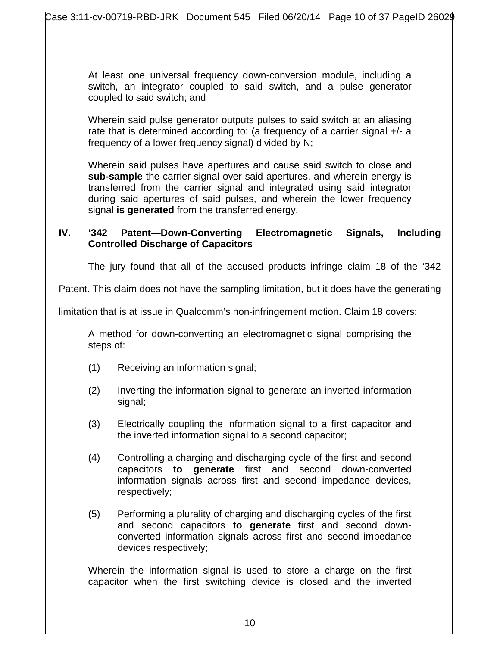At least one universal frequency down-conversion module, including a switch, an integrator coupled to said switch, and a pulse generator coupled to said switch; and

Wherein said pulse generator outputs pulses to said switch at an aliasing rate that is determined according to: (a frequency of a carrier signal +/- a frequency of a lower frequency signal) divided by N;

Wherein said pulses have apertures and cause said switch to close and **sub-sample** the carrier signal over said apertures, and wherein energy is transferred from the carrier signal and integrated using said integrator during said apertures of said pulses, and wherein the lower frequency signal **is generated** from the transferred energy.

#### **IV. '342 Patent—Down-Converting Electromagnetic Signals, Including Controlled Discharge of Capacitors**

The jury found that all of the accused products infringe claim 18 of the '342

Patent. This claim does not have the sampling limitation, but it does have the generating

limitation that is at issue in Qualcomm's non-infringement motion. Claim 18 covers:

A method for down-converting an electromagnetic signal comprising the steps of:

- (1) Receiving an information signal;
- (2) Inverting the information signal to generate an inverted information signal;
- (3) Electrically coupling the information signal to a first capacitor and the inverted information signal to a second capacitor;
- (4) Controlling a charging and discharging cycle of the first and second capacitors **to generate** first and second down-converted information signals across first and second impedance devices, respectively;
- (5) Performing a plurality of charging and discharging cycles of the first and second capacitors **to generate** first and second downconverted information signals across first and second impedance devices respectively;

Wherein the information signal is used to store a charge on the first capacitor when the first switching device is closed and the inverted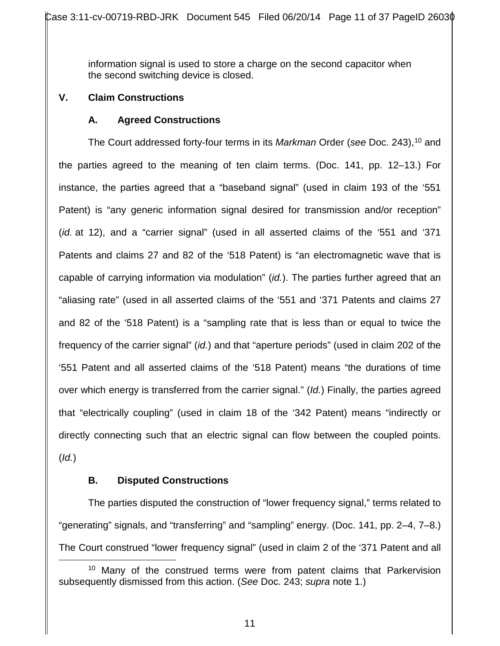information signal is used to store a charge on the second capacitor when the second switching device is closed.

# **V. Claim Constructions**

## **A. Agreed Constructions**

The Court addressed forty-four terms in its Markman Order (see Doc. 243),<sup>10</sup> and the parties agreed to the meaning of ten claim terms. (Doc. 141, pp. 12–13.) For instance, the parties agreed that a "baseband signal" (used in claim 193 of the '551 Patent) is "any generic information signal desired for transmission and/or reception" (*id.* at 12), and a "carrier signal" (used in all asserted claims of the '551 and '371 Patents and claims 27 and 82 of the '518 Patent) is "an electromagnetic wave that is capable of carrying information via modulation" (*id.*). The parties further agreed that an "aliasing rate" (used in all asserted claims of the '551 and '371 Patents and claims 27 and 82 of the '518 Patent) is a "sampling rate that is less than or equal to twice the frequency of the carrier signal" (*id.*) and that "aperture periods" (used in claim 202 of the '551 Patent and all asserted claims of the '518 Patent) means "the durations of time over which energy is transferred from the carrier signal." (*Id.*) Finally, the parties agreed that "electrically coupling" (used in claim 18 of the '342 Patent) means "indirectly or directly connecting such that an electric signal can flow between the coupled points. (*Id.*)

# **B. Disputed Constructions**

The parties disputed the construction of "lower frequency signal," terms related to "generating" signals, and "transferring" and "sampling" energy. (Doc. 141, pp. 2–4, 7–8.) The Court construed "lower frequency signal" (used in claim 2 of the '371 Patent and all

<sup>&</sup>lt;sup>10</sup> Many of the construed terms were from patent claims that Parkervision subsequently dismissed from this action. (*See* Doc. 243; *supra* note 1.)  $\overline{a}$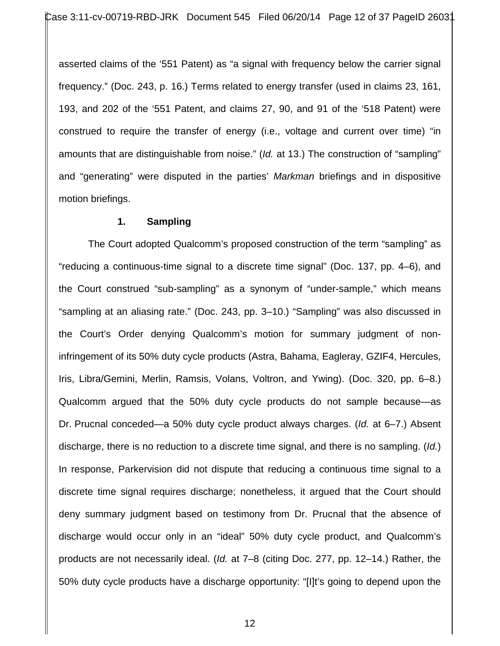asserted claims of the '551 Patent) as "a signal with frequency below the carrier signal frequency." (Doc. 243, p. 16.) Terms related to energy transfer (used in claims 23, 161, 193, and 202 of the '551 Patent, and claims 27, 90, and 91 of the '518 Patent) were construed to require the transfer of energy (i.e., voltage and current over time) "in amounts that are distinguishable from noise." (*Id.* at 13.) The construction of "sampling" and "generating" were disputed in the parties' *Markman* briefings and in dispositive motion briefings.

#### **1. Sampling**

The Court adopted Qualcomm's proposed construction of the term "sampling" as "reducing a continuous-time signal to a discrete time signal" (Doc. 137, pp. 4–6), and the Court construed "sub-sampling" as a synonym of "under-sample," which means "sampling at an aliasing rate." (Doc. 243, pp. 3–10.) "Sampling" was also discussed in the Court's Order denying Qualcomm's motion for summary judgment of noninfringement of its 50% duty cycle products (Astra, Bahama, Eagleray, GZIF4, Hercules, Iris, Libra/Gemini, Merlin, Ramsis, Volans, Voltron, and Ywing). (Doc. 320, pp. 6–8.) Qualcomm argued that the 50% duty cycle products do not sample because—as Dr. Prucnal conceded—a 50% duty cycle product always charges. (*Id.* at 6–7.) Absent discharge, there is no reduction to a discrete time signal, and there is no sampling. (*Id.*) In response, Parkervision did not dispute that reducing a continuous time signal to a discrete time signal requires discharge; nonetheless, it argued that the Court should deny summary judgment based on testimony from Dr. Prucnal that the absence of discharge would occur only in an "ideal" 50% duty cycle product, and Qualcomm's products are not necessarily ideal. (*Id.* at 7–8 (citing Doc. 277, pp. 12–14.) Rather, the 50% duty cycle products have a discharge opportunity: "[I]t's going to depend upon the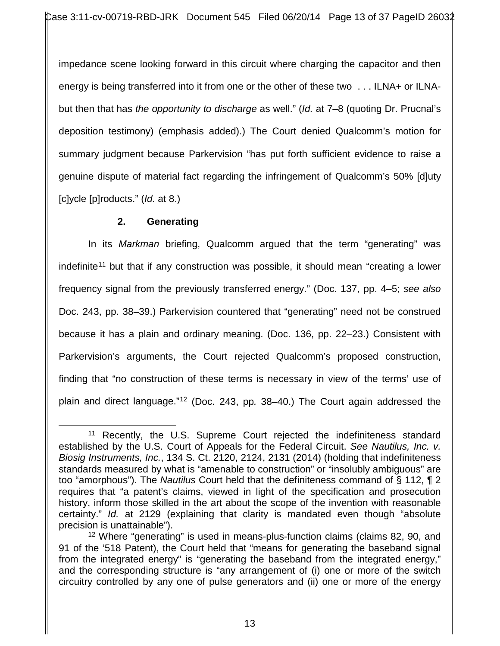impedance scene looking forward in this circuit where charging the capacitor and then energy is being transferred into it from one or the other of these two . . . ILNA+ or ILNAbut then that has *the opportunity to discharge* as well." (*Id.* at 7–8 (quoting Dr. Prucnal's deposition testimony) (emphasis added).) The Court denied Qualcomm's motion for summary judgment because Parkervision "has put forth sufficient evidence to raise a genuine dispute of material fact regarding the infringement of Qualcomm's 50% [d]uty [c]ycle [p]roducts." (*Id.* at 8.)

# **2. Generating**

In its *Markman* briefing, Qualcomm argued that the term "generating" was indefinite<sup>11</sup> but that if any construction was possible, it should mean "creating a lower frequency signal from the previously transferred energy." (Doc. 137, pp. 4–5; *see also*  Doc. 243, pp. 38–39.) Parkervision countered that "generating" need not be construed because it has a plain and ordinary meaning. (Doc. 136, pp. 22–23.) Consistent with Parkervision's arguments, the Court rejected Qualcomm's proposed construction, finding that "no construction of these terms is necessary in view of the terms' use of plain and direct language."12 (Doc. 243, pp*.* 38–40.) The Court again addressed the

<sup>11</sup> Recently, the U.S. Supreme Court rejected the indefiniteness standard established by the U.S. Court of Appeals for the Federal Circuit. *See Nautilus, Inc. v. Biosig Instruments, Inc.*, 134 S. Ct. 2120, 2124, 2131 (2014) (holding that indefiniteness standards measured by what is "amenable to construction" or "insolubly ambiguous" are too "amorphous"). The *Nautilus* Court held that the definiteness command of § 112, ¶ 2 requires that "a patent's claims, viewed in light of the specification and prosecution history, inform those skilled in the art about the scope of the invention with reasonable certainty." *Id.* at 2129 (explaining that clarity is mandated even though "absolute precision is unattainable").  $\overline{a}$ 

<sup>&</sup>lt;sup>12</sup> Where "generating" is used in means-plus-function claims (claims 82, 90, and 91 of the '518 Patent), the Court held that "means for generating the baseband signal from the integrated energy" is "generating the baseband from the integrated energy," and the corresponding structure is "any arrangement of (i) one or more of the switch circuitry controlled by any one of pulse generators and (ii) one or more of the energy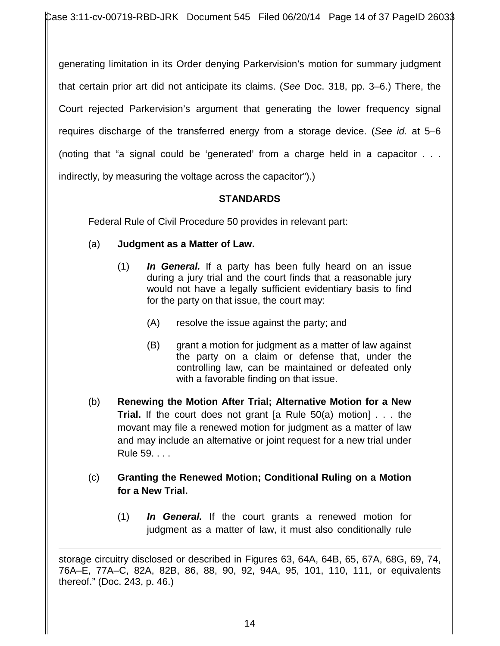generating limitation in its Order denying Parkervision's motion for summary judgment that certain prior art did not anticipate its claims. (*See* Doc. 318, pp. 3–6.) There, the Court rejected Parkervision's argument that generating the lower frequency signal requires discharge of the transferred energy from a storage device. (*See id.* at 5–6 (noting that "a signal could be 'generated' from a charge held in a capacitor . . . indirectly, by measuring the voltage across the capacitor").)

# **STANDARDS**

Federal Rule of Civil Procedure 50 provides in relevant part:

# (a) **Judgment as a Matter of Law.**

- (1) *In General.* If a party has been fully heard on an issue during a jury trial and the court finds that a reasonable jury would not have a legally sufficient evidentiary basis to find for the party on that issue, the court may:
	- (A) resolve the issue against the party; and
	- (B) grant a motion for judgment as a matter of law against the party on a claim or defense that, under the controlling law, can be maintained or defeated only with a favorable finding on that issue.
- (b) **Renewing the Motion After Trial; Alternative Motion for a New Trial.** If the court does not grant [a Rule 50(a) motion] . . . the movant may file a renewed motion for judgment as a matter of law and may include an alternative or joint request for a new trial under Rule 59. . . .
- (c) **Granting the Renewed Motion; Conditional Ruling on a Motion for a New Trial.**
	- (1) *In General.* If the court grants a renewed motion for judgment as a matter of law, it must also conditionally rule

storage circuitry disclosed or described in Figures 63, 64A, 64B, 65, 67A, 68G, 69, 74, 76A–E, 77A–C, 82A, 82B, 86, 88, 90, 92, 94A, 95, 101, 110, 111, or equivalents thereof." (Doc. 243, p. 46.)  $\overline{a}$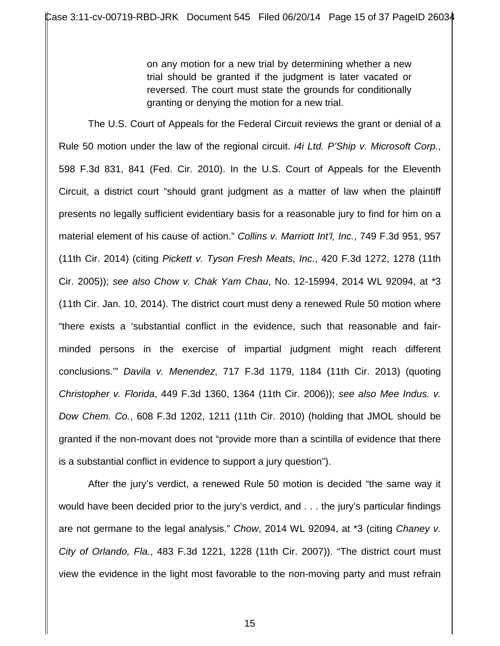on any motion for a new trial by determining whether a new trial should be granted if the judgment is later vacated or reversed. The court must state the grounds for conditionally granting or denying the motion for a new trial.

The U.S. Court of Appeals for the Federal Circuit reviews the grant or denial of a Rule 50 motion under the law of the regional circuit. *i4i Ltd. P'Ship v. Microsoft Corp.*, 598 F.3d 831, 841 (Fed. Cir. 2010). In the U.S. Court of Appeals for the Eleventh Circuit, a district court "should grant judgment as a matter of law when the plaintiff presents no legally sufficient evidentiary basis for a reasonable jury to find for him on a material element of his cause of action." *Collins v. Marriott Int'l, Inc.*, 749 F.3d 951, 957 (11th Cir. 2014) (citing *Pickett v. Tyson Fresh Meats, Inc.*, 420 F.3d 1272, 1278 (11th Cir. 2005)); *see also Chow v. Chak Yam Chau*, No. 12-15994, 2014 WL 92094, at \*3 (11th Cir. Jan. 10, 2014). The district court must deny a renewed Rule 50 motion where "there exists a 'substantial conflict in the evidence, such that reasonable and fairminded persons in the exercise of impartial judgment might reach different conclusions.'" *Davila v. Menendez*, 717 F.3d 1179, 1184 (11th Cir. 2013) (quoting *Christopher v. Florida*, 449 F.3d 1360, 1364 (11th Cir. 2006)); *see also Mee Indus. v. Dow Chem. Co.*, 608 F.3d 1202, 1211 (11th Cir. 2010) (holding that JMOL should be granted if the non-movant does not "provide more than a scintilla of evidence that there is a substantial conflict in evidence to support a jury question").

 After the jury's verdict, a renewed Rule 50 motion is decided "the same way it would have been decided prior to the jury's verdict, and . . . the jury's particular findings are not germane to the legal analysis." *Chow*, 2014 WL 92094, at \*3 (citing *Chaney v. City of Orlando, Fla.*, 483 F.3d 1221, 1228 (11th Cir. 2007)). "The district court must view the evidence in the light most favorable to the non-moving party and must refrain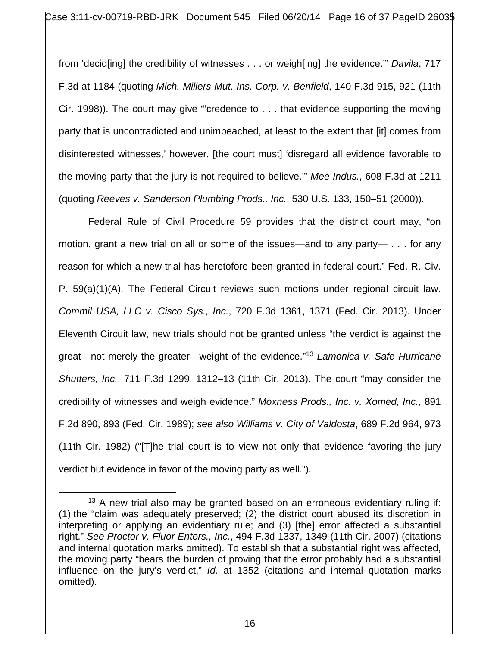from 'decid[ing] the credibility of witnesses . . . or weigh[ing] the evidence.'" *Davila*, 717 F.3d at 1184 (quoting *Mich. Millers Mut. Ins. Corp. v. Benfield*, 140 F.3d 915, 921 (11th Cir. 1998)). The court may give "'credence to . . . that evidence supporting the moving party that is uncontradicted and unimpeached, at least to the extent that [it] comes from disinterested witnesses,' however, [the court must] 'disregard all evidence favorable to the moving party that the jury is not required to believe.'" *Mee Indus.*, 608 F.3d at 1211 (quoting *Reeves v. Sanderson Plumbing Prods., Inc.*, 530 U.S. 133, 150–51 (2000)).

Federal Rule of Civil Procedure 59 provides that the district court may, "on motion, grant a new trial on all or some of the issues—and to any party— . . . for any reason for which a new trial has heretofore been granted in federal court." Fed. R. Civ. P. 59(a)(1)(A). The Federal Circuit reviews such motions under regional circuit law. *Commil USA, LLC v. Cisco Sys., Inc.*, 720 F.3d 1361, 1371 (Fed. Cir. 2013). Under Eleventh Circuit law, new trials should not be granted unless "the verdict is against the great—not merely the greater—weight of the evidence."13 *Lamonica v. Safe Hurricane Shutters, Inc.*, 711 F.3d 1299, 1312–13 (11th Cir. 2013). The court "may consider the credibility of witnesses and weigh evidence." *Moxness Prods., Inc. v. Xomed, Inc.*, 891 F.2d 890, 893 (Fed. Cir. 1989); *see also Williams v. City of Valdosta*, 689 F.2d 964, 973 (11th Cir. 1982) ("[T]he trial court is to view not only that evidence favoring the jury verdict but evidence in favor of the moving party as well.").

 $\overline{a}$ 

 $13$  A new trial also may be granted based on an erroneous evidentiary ruling if: (1) the "claim was adequately preserved; (2) the district court abused its discretion in interpreting or applying an evidentiary rule; and (3) [the] error affected a substantial right." *See Proctor v. Fluor Enters., Inc.*, 494 F.3d 1337, 1349 (11th Cir. 2007) (citations and internal quotation marks omitted). To establish that a substantial right was affected, the moving party "bears the burden of proving that the error probably had a substantial influence on the jury's verdict." *Id.* at 1352 (citations and internal quotation marks omitted).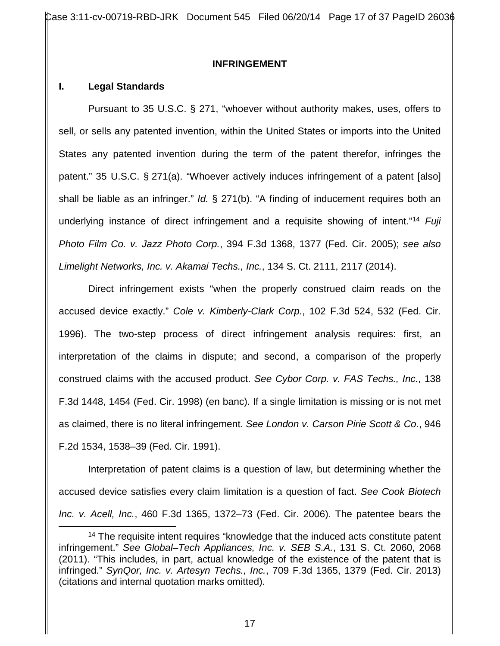Case 3:11-cv-00719-RBD-JRK Document 545 Filed 06/20/14 Page 17 of 37 PageID 2603 $\phi$ 

#### **INFRINGEMENT**

#### **I. Legal Standards**

Pursuant to 35 U.S.C. § 271, "whoever without authority makes, uses, offers to sell, or sells any patented invention, within the United States or imports into the United States any patented invention during the term of the patent therefor, infringes the patent." 35 U.S.C. § 271(a). "Whoever actively induces infringement of a patent [also] shall be liable as an infringer." *Id.* § 271(b). "A finding of inducement requires both an underlying instance of direct infringement and a requisite showing of intent."14 *Fuji Photo Film Co. v. Jazz Photo Corp.*, 394 F.3d 1368, 1377 (Fed. Cir. 2005); *see also Limelight Networks, Inc. v. Akamai Techs., Inc.*, 134 S. Ct. 2111, 2117 (2014).

Direct infringement exists "when the properly construed claim reads on the accused device exactly." *Cole v. Kimberly-Clark Corp.*, 102 F.3d 524, 532 (Fed. Cir. 1996). The two-step process of direct infringement analysis requires: first, an interpretation of the claims in dispute; and second, a comparison of the properly construed claims with the accused product. *See Cybor Corp. v. FAS Techs., Inc.*, 138 F.3d 1448, 1454 (Fed. Cir. 1998) (en banc). If a single limitation is missing or is not met as claimed, there is no literal infringement. *See London v. Carson Pirie Scott & Co.*, 946 F.2d 1534, 1538–39 (Fed. Cir. 1991).

Interpretation of patent claims is a question of law, but determining whether the accused device satisfies every claim limitation is a question of fact. *See Cook Biotech Inc. v. Acell, Inc.*, 460 F.3d 1365, 1372–73 (Fed. Cir. 2006). The patentee bears the

<sup>&</sup>lt;sup>14</sup> The requisite intent requires "knowledge that the induced acts constitute patent infringement." *See Global–Tech Appliances, Inc. v. SEB S.A.*, 131 S. Ct. 2060, 2068 (2011). "This includes, in part, actual knowledge of the existence of the patent that is infringed." *SynQor, Inc. v. Artesyn Techs., Inc.*, 709 F.3d 1365, 1379 (Fed. Cir. 2013) (citations and internal quotation marks omitted).  $\overline{a}$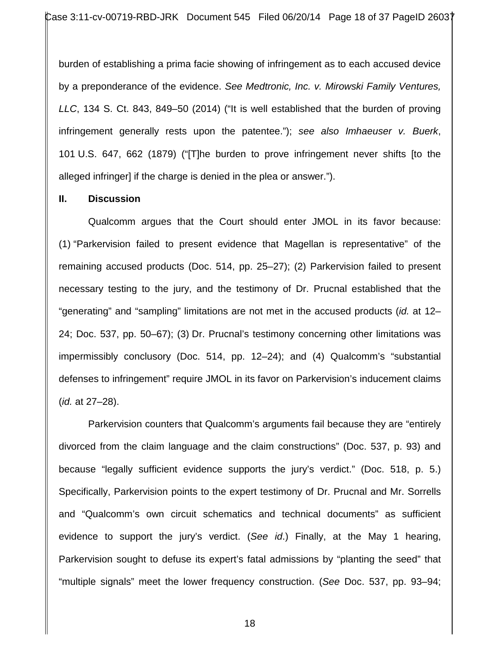burden of establishing a prima facie showing of infringement as to each accused device by a preponderance of the evidence. *See Medtronic, Inc. v. Mirowski Family Ventures, LLC*, 134 S. Ct. 843, 849–50 (2014) ("It is well established that the burden of proving infringement generally rests upon the patentee."); *see also Imhaeuser v. Buerk*, 101 U.S. 647, 662 (1879) ("[T]he burden to prove infringement never shifts [to the alleged infringer] if the charge is denied in the plea or answer.").

#### **II. Discussion**

Qualcomm argues that the Court should enter JMOL in its favor because: (1) "Parkervision failed to present evidence that Magellan is representative" of the remaining accused products (Doc. 514, pp. 25–27); (2) Parkervision failed to present necessary testing to the jury, and the testimony of Dr. Prucnal established that the "generating" and "sampling" limitations are not met in the accused products (*id.* at 12– 24; Doc. 537, pp. 50–67); (3) Dr. Prucnal's testimony concerning other limitations was impermissibly conclusory (Doc. 514, pp. 12–24); and (4) Qualcomm's "substantial defenses to infringement" require JMOL in its favor on Parkervision's inducement claims (*id.* at 27–28).

Parkervision counters that Qualcomm's arguments fail because they are "entirely divorced from the claim language and the claim constructions" (Doc. 537, p. 93) and because "legally sufficient evidence supports the jury's verdict." (Doc. 518, p. 5.) Specifically, Parkervision points to the expert testimony of Dr. Prucnal and Mr. Sorrells and "Qualcomm's own circuit schematics and technical documents" as sufficient evidence to support the jury's verdict. (*See id*.) Finally, at the May 1 hearing, Parkervision sought to defuse its expert's fatal admissions by "planting the seed" that "multiple signals" meet the lower frequency construction. (*See* Doc. 537, pp. 93–94;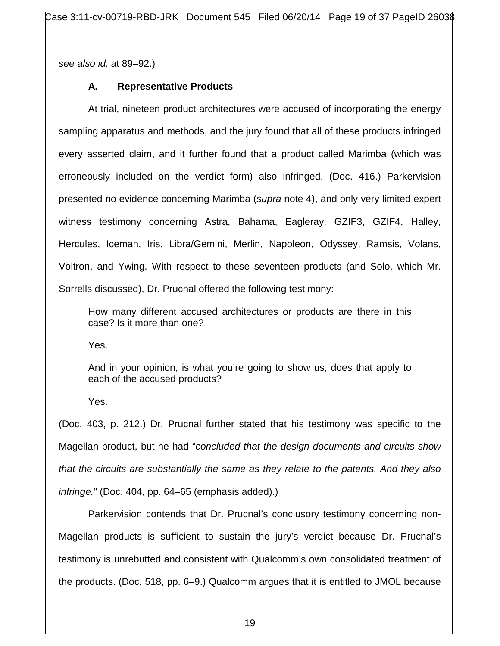Case 3:11-cv-00719-RBD-JRK Document 545 Filed 06/20/14 Page 19 of 37 PageID 26038

*see also id.* at 89–92.)

## **A. Representative Products**

At trial, nineteen product architectures were accused of incorporating the energy sampling apparatus and methods, and the jury found that all of these products infringed every asserted claim, and it further found that a product called Marimba (which was erroneously included on the verdict form) also infringed. (Doc. 416.) Parkervision presented no evidence concerning Marimba (*supra* note 4), and only very limited expert witness testimony concerning Astra, Bahama, Eagleray, GZIF3, GZIF4, Halley, Hercules, Iceman, Iris, Libra/Gemini, Merlin, Napoleon, Odyssey, Ramsis, Volans, Voltron, and Ywing. With respect to these seventeen products (and Solo, which Mr. Sorrells discussed), Dr. Prucnal offered the following testimony:

How many different accused architectures or products are there in this case? Is it more than one?

Yes.

And in your opinion, is what you're going to show us, does that apply to each of the accused products?

Yes.

(Doc. 403, p. 212.) Dr. Prucnal further stated that his testimony was specific to the Magellan product, but he had "*concluded that the design documents and circuits show that the circuits are substantially the same as they relate to the patents. And they also infringe.*" (Doc. 404, pp. 64–65 (emphasis added).)

Parkervision contends that Dr. Prucnal's conclusory testimony concerning non-Magellan products is sufficient to sustain the jury's verdict because Dr. Prucnal's testimony is unrebutted and consistent with Qualcomm's own consolidated treatment of the products. (Doc. 518, pp. 6–9.) Qualcomm argues that it is entitled to JMOL because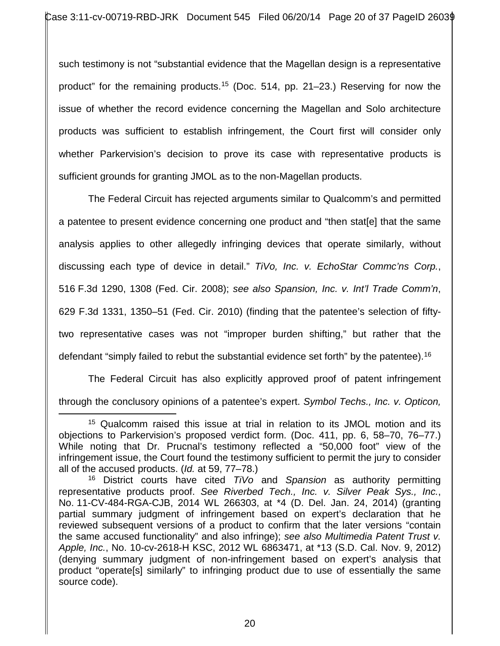such testimony is not "substantial evidence that the Magellan design is a representative product" for the remaining products.15 (Doc. 514, pp. 21–23.) Reserving for now the issue of whether the record evidence concerning the Magellan and Solo architecture products was sufficient to establish infringement, the Court first will consider only whether Parkervision's decision to prove its case with representative products is sufficient grounds for granting JMOL as to the non-Magellan products.

The Federal Circuit has rejected arguments similar to Qualcomm's and permitted a patentee to present evidence concerning one product and "then stat[e] that the same analysis applies to other allegedly infringing devices that operate similarly, without discussing each type of device in detail." *TiVo, Inc. v. EchoStar Commc'ns Corp.*, 516 F.3d 1290, 1308 (Fed. Cir. 2008); *see also Spansion, Inc. v. Int'l Trade Comm'n*, 629 F.3d 1331, 1350–51 (Fed. Cir. 2010) (finding that the patentee's selection of fiftytwo representative cases was not "improper burden shifting," but rather that the defendant "simply failed to rebut the substantial evidence set forth" by the patentee).<sup>16</sup>

The Federal Circuit has also explicitly approved proof of patent infringement through the conclusory opinions of a patentee's expert. *Symbol Techs., Inc. v. Opticon,* 

<sup>&</sup>lt;sup>15</sup> Qualcomm raised this issue at trial in relation to its JMOL motion and its objections to Parkervision's proposed verdict form. (Doc. 411, pp. 6, 58–70, 76–77.) While noting that Dr. Prucnal's testimony reflected a "50,000 foot" view of the infringement issue, the Court found the testimony sufficient to permit the jury to consider all of the accused products. (*Id.* at 59, 77–78.)  $\overline{a}$ 

<sup>16</sup> District courts have cited *TiVo* and *Spansion* as authority permitting representative products proof. *See Riverbed Tech., Inc. v. Silver Peak Sys., Inc.*, No. 11-CV-484-RGA-CJB, 2014 WL 266303, at \*4 (D. Del. Jan. 24, 2014) (granting partial summary judgment of infringement based on expert's declaration that he reviewed subsequent versions of a product to confirm that the later versions "contain the same accused functionality" and also infringe); *see also Multimedia Patent Trust v. Apple, Inc.*, No. 10-cv-2618-H KSC, 2012 WL 6863471, at \*13 (S.D. Cal. Nov. 9, 2012) (denying summary judgment of non-infringement based on expert's analysis that product "operate[s] similarly" to infringing product due to use of essentially the same source code).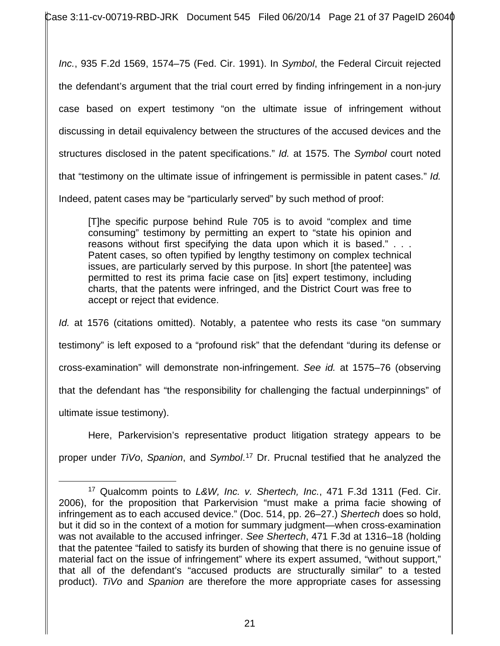Case 3:11-cv-00719-RBD-JRK Document 545 Filed 06/20/14 Page 21 of 37 PageID 2604 $\phi$ 

*Inc.*, 935 F.2d 1569, 1574–75 (Fed. Cir. 1991). In *Symbol*, the Federal Circuit rejected the defendant's argument that the trial court erred by finding infringement in a non-jury case based on expert testimony "on the ultimate issue of infringement without discussing in detail equivalency between the structures of the accused devices and the structures disclosed in the patent specifications." *Id.* at 1575. The *Symbol* court noted that "testimony on the ultimate issue of infringement is permissible in patent cases." *Id.* Indeed, patent cases may be "particularly served" by such method of proof:

[T]he specific purpose behind Rule 705 is to avoid "complex and time consuming" testimony by permitting an expert to "state his opinion and reasons without first specifying the data upon which it is based." . . . Patent cases, so often typified by lengthy testimony on complex technical issues, are particularly served by this purpose. In short [the patentee] was permitted to rest its prima facie case on [its] expert testimony, including charts, that the patents were infringed, and the District Court was free to accept or reject that evidence.

*Id.* at 1576 (citations omitted). Notably, a patentee who rests its case "on summary testimony" is left exposed to a "profound risk" that the defendant "during its defense or cross-examination" will demonstrate non-infringement. *See id.* at 1575–76 (observing that the defendant has "the responsibility for challenging the factual underpinnings" of ultimate issue testimony).

Here, Parkervision's representative product litigation strategy appears to be proper under *TiVo*, *Spanion*, and *Symbol*. <sup>17</sup> Dr. Prucnal testified that he analyzed the

 $\overline{a}$ 

<sup>17</sup> Qualcomm points to *L&W, Inc. v. Shertech, Inc.*, 471 F.3d 1311 (Fed. Cir. 2006), for the proposition that Parkervision "must make a prima facie showing of infringement as to each accused device." (Doc. 514, pp. 26–27.) *Shertech* does so hold, but it did so in the context of a motion for summary judgment—when cross-examination was not available to the accused infringer. *See Shertech*, 471 F.3d at 1316–18 (holding that the patentee "failed to satisfy its burden of showing that there is no genuine issue of material fact on the issue of infringement" where its expert assumed, "without support," that all of the defendant's "accused products are structurally similar" to a tested product). *TiVo* and *Spanion* are therefore the more appropriate cases for assessing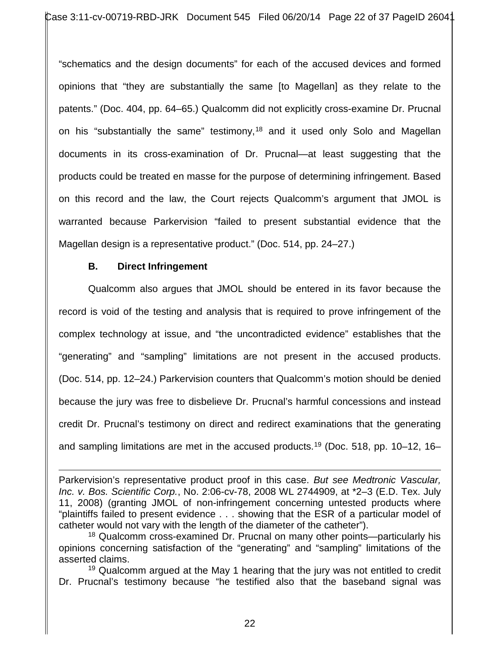"schematics and the design documents" for each of the accused devices and formed opinions that "they are substantially the same [to Magellan] as they relate to the patents." (Doc. 404, pp. 64–65.) Qualcomm did not explicitly cross-examine Dr. Prucnal on his "substantially the same" testimony,<sup>18</sup> and it used only Solo and Magellan documents in its cross-examination of Dr. Prucnal—at least suggesting that the products could be treated en masse for the purpose of determining infringement. Based on this record and the law, the Court rejects Qualcomm's argument that JMOL is warranted because Parkervision "failed to present substantial evidence that the Magellan design is a representative product." (Doc. 514, pp. 24–27.)

## **B. Direct Infringement**

Qualcomm also argues that JMOL should be entered in its favor because the record is void of the testing and analysis that is required to prove infringement of the complex technology at issue, and "the uncontradicted evidence" establishes that the "generating" and "sampling" limitations are not present in the accused products. (Doc. 514, pp. 12–24.) Parkervision counters that Qualcomm's motion should be denied because the jury was free to disbelieve Dr. Prucnal's harmful concessions and instead credit Dr. Prucnal's testimony on direct and redirect examinations that the generating and sampling limitations are met in the accused products.<sup>19</sup> (Doc. 518, pp. 10–12, 16–

Parkervision's representative product proof in this case. *But see Medtronic Vascular, Inc. v. Bos. Scientific Corp.*, No. 2:06-cv-78, 2008 WL 2744909, at \*2–3 (E.D. Tex. July 11, 2008) (granting JMOL of non-infringement concerning untested products where "plaintiffs failed to present evidence . . . showing that the ESR of a particular model of catheter would not vary with the length of the diameter of the catheter").  $\overline{a}$ 

<sup>18</sup> Qualcomm cross-examined Dr. Prucnal on many other points—particularly his opinions concerning satisfaction of the "generating" and "sampling" limitations of the asserted claims.

 $19$  Qualcomm argued at the May 1 hearing that the jury was not entitled to credit Dr. Prucnal's testimony because "he testified also that the baseband signal was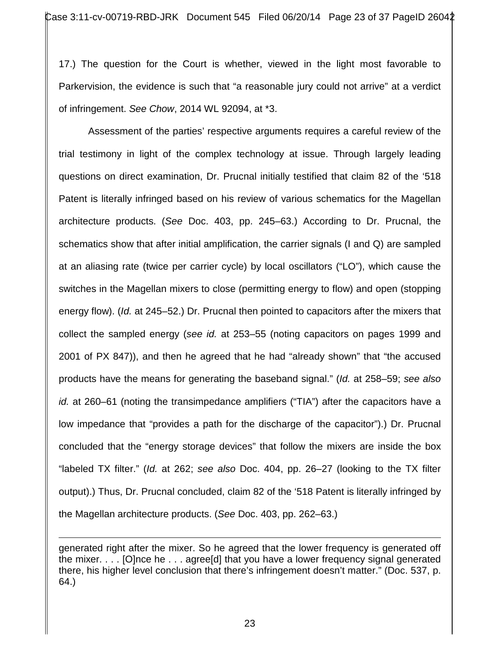17.) The question for the Court is whether, viewed in the light most favorable to Parkervision, the evidence is such that "a reasonable jury could not arrive" at a verdict of infringement. *See Chow*, 2014 WL 92094, at \*3.

Assessment of the parties' respective arguments requires a careful review of the trial testimony in light of the complex technology at issue. Through largely leading questions on direct examination, Dr. Prucnal initially testified that claim 82 of the '518 Patent is literally infringed based on his review of various schematics for the Magellan architecture products. (*See* Doc. 403, pp. 245–63.) According to Dr. Prucnal, the schematics show that after initial amplification, the carrier signals (I and Q) are sampled at an aliasing rate (twice per carrier cycle) by local oscillators ("LO"), which cause the switches in the Magellan mixers to close (permitting energy to flow) and open (stopping energy flow). (*Id.* at 245–52.) Dr. Prucnal then pointed to capacitors after the mixers that collect the sampled energy (*see id.* at 253–55 (noting capacitors on pages 1999 and 2001 of PX 847)), and then he agreed that he had "already shown" that "the accused products have the means for generating the baseband signal." (*Id.* at 258–59; *see also id.* at 260–61 (noting the transimpedance amplifiers ("TIA") after the capacitors have a low impedance that "provides a path for the discharge of the capacitor").) Dr. Prucnal concluded that the "energy storage devices" that follow the mixers are inside the box "labeled TX filter." (*Id.* at 262; *see also* Doc. 404, pp. 26–27 (looking to the TX filter output).) Thus, Dr. Prucnal concluded, claim 82 of the '518 Patent is literally infringed by the Magellan architecture products. (*See* Doc. 403, pp. 262–63.)

generated right after the mixer. So he agreed that the lower frequency is generated off the mixer. . . . [O]nce he . . . agree[d] that you have a lower frequency signal generated there, his higher level conclusion that there's infringement doesn't matter." (Doc. 537, p. 64.)  $\overline{a}$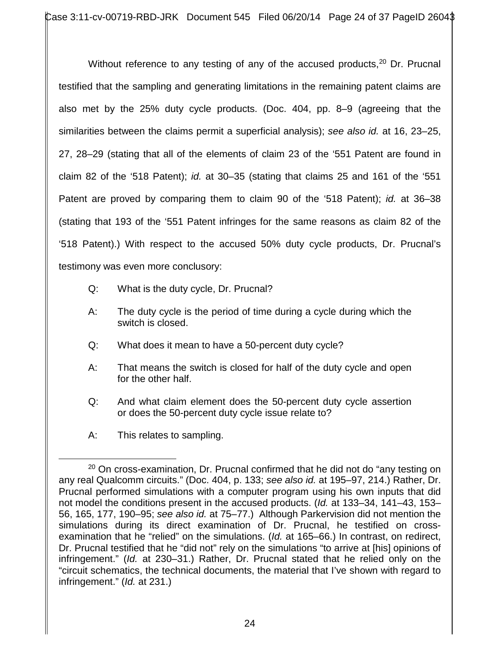Without reference to any testing of any of the accused products,<sup>20</sup> Dr. Prucnal testified that the sampling and generating limitations in the remaining patent claims are also met by the 25% duty cycle products. (Doc. 404, pp. 8–9 (agreeing that the similarities between the claims permit a superficial analysis); *see also id.* at 16, 23–25, 27, 28–29 (stating that all of the elements of claim 23 of the '551 Patent are found in claim 82 of the '518 Patent); *id.* at 30–35 (stating that claims 25 and 161 of the '551 Patent are proved by comparing them to claim 90 of the '518 Patent); *id.* at 36–38 (stating that 193 of the '551 Patent infringes for the same reasons as claim 82 of the '518 Patent).) With respect to the accused 50% duty cycle products, Dr. Prucnal's testimony was even more conclusory:

- Q: What is the duty cycle, Dr. Prucnal?
- A: The duty cycle is the period of time during a cycle during which the switch is closed.
- Q: What does it mean to have a 50-percent duty cycle?
- A: That means the switch is closed for half of the duty cycle and open for the other half.
- Q: And what claim element does the 50-percent duty cycle assertion or does the 50-percent duty cycle issue relate to?
- A: This relates to sampling.

 $20$  On cross-examination, Dr. Prucnal confirmed that he did not do "any testing on any real Qualcomm circuits." (Doc. 404, p. 133; *see also id.* at 195–97, 214.) Rather, Dr. Prucnal performed simulations with a computer program using his own inputs that did not model the conditions present in the accused products. (*Id.* at 133–34, 141–43, 153– 56, 165, 177, 190–95; *see also id.* at 75–77.) Although Parkervision did not mention the simulations during its direct examination of Dr. Prucnal, he testified on crossexamination that he "relied" on the simulations. (*Id.* at 165–66.) In contrast, on redirect, Dr. Prucnal testified that he "did not" rely on the simulations "to arrive at [his] opinions of infringement." (*Id.* at 230–31.) Rather, Dr. Prucnal stated that he relied only on the "circuit schematics, the technical documents, the material that I've shown with regard to infringement." (*Id.* at 231.)  $\overline{a}$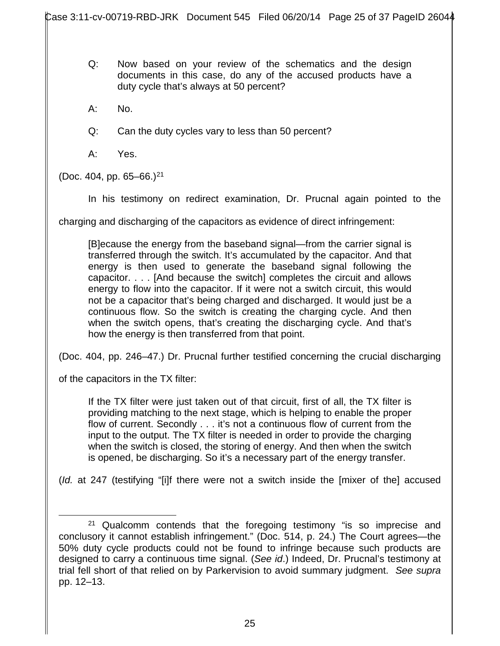- Q: Now based on your review of the schematics and the design documents in this case, do any of the accused products have a duty cycle that's always at 50 percent?
- A: No.
- Q: Can the duty cycles vary to less than 50 percent?
- A: Yes.

(Doc. 404, pp.  $65-66$ .)<sup>21</sup>

In his testimony on redirect examination, Dr. Prucnal again pointed to the

charging and discharging of the capacitors as evidence of direct infringement:

[B]ecause the energy from the baseband signal—from the carrier signal is transferred through the switch. It's accumulated by the capacitor. And that energy is then used to generate the baseband signal following the capacitor. . . . [And because the switch] completes the circuit and allows energy to flow into the capacitor. If it were not a switch circuit, this would not be a capacitor that's being charged and discharged. It would just be a continuous flow. So the switch is creating the charging cycle. And then when the switch opens, that's creating the discharging cycle. And that's how the energy is then transferred from that point.

(Doc. 404, pp. 246–47.) Dr. Prucnal further testified concerning the crucial discharging

of the capacitors in the TX filter:

If the TX filter were just taken out of that circuit, first of all, the TX filter is providing matching to the next stage, which is helping to enable the proper flow of current. Secondly . . . it's not a continuous flow of current from the input to the output. The TX filter is needed in order to provide the charging when the switch is closed, the storing of energy. And then when the switch is opened, be discharging. So it's a necessary part of the energy transfer.

(*Id.* at 247 (testifying "[i]f there were not a switch inside the [mixer of the] accused

<sup>&</sup>lt;sup>21</sup> Qualcomm contends that the foregoing testimony "is so imprecise and conclusory it cannot establish infringement." (Doc. 514, p. 24.) The Court agrees—the 50% duty cycle products could not be found to infringe because such products are designed to carry a continuous time signal. (*See id*.) Indeed, Dr. Prucnal's testimony at trial fell short of that relied on by Parkervision to avoid summary judgment. *See supra* pp. 12–13.  $\overline{a}$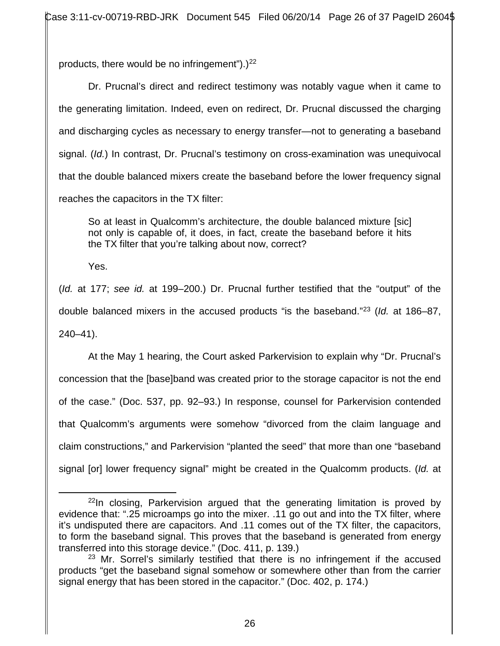products, there would be no infringement").) $^{22}$ 

Dr. Prucnal's direct and redirect testimony was notably vague when it came to the generating limitation. Indeed, even on redirect, Dr. Prucnal discussed the charging and discharging cycles as necessary to energy transfer—not to generating a baseband signal. (*Id.*) In contrast, Dr. Prucnal's testimony on cross-examination was unequivocal that the double balanced mixers create the baseband before the lower frequency signal reaches the capacitors in the TX filter:

So at least in Qualcomm's architecture, the double balanced mixture [sic] not only is capable of, it does, in fact, create the baseband before it hits the TX filter that you're talking about now, correct?

Yes.

 $\overline{a}$ 

(*Id.* at 177; *see id.* at 199–200.) Dr. Prucnal further testified that the "output" of the double balanced mixers in the accused products "is the baseband."23 (*Id.* at 186–87, 240–41).

At the May 1 hearing, the Court asked Parkervision to explain why "Dr. Prucnal's concession that the [base]band was created prior to the storage capacitor is not the end of the case." (Doc. 537, pp. 92–93.) In response, counsel for Parkervision contended that Qualcomm's arguments were somehow "divorced from the claim language and claim constructions," and Parkervision "planted the seed" that more than one "baseband signal [or] lower frequency signal" might be created in the Qualcomm products. (*Id.* at

 $22$ In closing, Parkervision argued that the generating limitation is proved by evidence that: ".25 microamps go into the mixer. .11 go out and into the TX filter, where it's undisputed there are capacitors. And .11 comes out of the TX filter, the capacitors, to form the baseband signal. This proves that the baseband is generated from energy transferred into this storage device." (Doc. 411, p. 139.)

 $23$  Mr. Sorrel's similarly testified that there is no infringement if the accused products "get the baseband signal somehow or somewhere other than from the carrier signal energy that has been stored in the capacitor." (Doc. 402, p. 174.)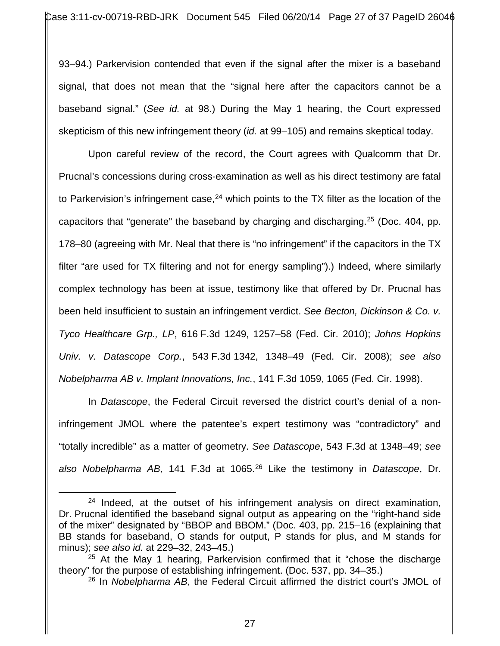93–94.) Parkervision contended that even if the signal after the mixer is a baseband signal, that does not mean that the "signal here after the capacitors cannot be a baseband signal." (*See id.* at 98.) During the May 1 hearing, the Court expressed skepticism of this new infringement theory (*id.* at 99–105) and remains skeptical today.

Upon careful review of the record, the Court agrees with Qualcomm that Dr. Prucnal's concessions during cross-examination as well as his direct testimony are fatal to Parkervision's infringement case,  $24$  which points to the TX filter as the location of the capacitors that "generate" the baseband by charging and discharging.25 (Doc. 404, pp. 178–80 (agreeing with Mr. Neal that there is "no infringement" if the capacitors in the TX filter "are used for TX filtering and not for energy sampling").) Indeed, where similarly complex technology has been at issue, testimony like that offered by Dr. Prucnal has been held insufficient to sustain an infringement verdict. *See Becton, Dickinson & Co. v. Tyco Healthcare Grp., LP*, 616 F.3d 1249, 1257–58 (Fed. Cir. 2010); *Johns Hopkins Univ. v. Datascope Corp.*, 543 F.3d 1342, 1348–49 (Fed. Cir. 2008); *see also Nobelpharma AB v. Implant Innovations, Inc.*, 141 F.3d 1059, 1065 (Fed. Cir. 1998).

In *Datascope*, the Federal Circuit reversed the district court's denial of a noninfringement JMOL where the patentee's expert testimony was "contradictory" and "totally incredible" as a matter of geometry. *See Datascope*, 543 F.3d at 1348–49; *see also Nobelpharma AB*, 141 F.3d at 1065.26 Like the testimony in *Datascope*, Dr.

 $\overline{a}$ 

 $24$  Indeed, at the outset of his infringement analysis on direct examination, Dr. Prucnal identified the baseband signal output as appearing on the "right-hand side of the mixer" designated by "BBOP and BBOM." (Doc. 403, pp. 215–16 (explaining that BB stands for baseband, O stands for output, P stands for plus, and M stands for minus); *see also id.* at 229–32, 243–45.)

 $25$  At the May 1 hearing, Parkervision confirmed that it "chose the discharge theory" for the purpose of establishing infringement. (Doc. 537, pp. 34–35.)

<sup>26</sup> In *Nobelpharma AB*, the Federal Circuit affirmed the district court's JMOL of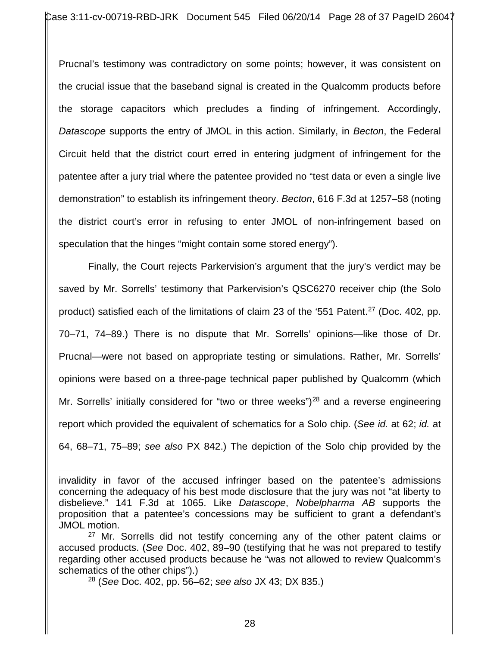Prucnal's testimony was contradictory on some points; however, it was consistent on the crucial issue that the baseband signal is created in the Qualcomm products before the storage capacitors which precludes a finding of infringement. Accordingly, *Datascope* supports the entry of JMOL in this action. Similarly, in *Becton*, the Federal Circuit held that the district court erred in entering judgment of infringement for the patentee after a jury trial where the patentee provided no "test data or even a single live demonstration" to establish its infringement theory. *Becton*, 616 F.3d at 1257–58 (noting the district court's error in refusing to enter JMOL of non-infringement based on speculation that the hinges "might contain some stored energy").

Finally, the Court rejects Parkervision's argument that the jury's verdict may be saved by Mr. Sorrells' testimony that Parkervision's QSC6270 receiver chip (the Solo product) satisfied each of the limitations of claim 23 of the '551 Patent.<sup>27</sup> (Doc. 402, pp. 70–71, 74–89.) There is no dispute that Mr. Sorrells' opinions—like those of Dr. Prucnal—were not based on appropriate testing or simulations. Rather, Mr. Sorrells' opinions were based on a three-page technical paper published by Qualcomm (which Mr. Sorrells' initially considered for "two or three weeks")<sup>28</sup> and a reverse engineering report which provided the equivalent of schematics for a Solo chip. (*See id.* at 62; *id.* at 64, 68–71, 75–89; *see also* PX 842.) The depiction of the Solo chip provided by the

28 (*See* Doc. 402, pp. 56–62; *see also* JX 43; DX 835.)

 $\overline{a}$ 

invalidity in favor of the accused infringer based on the patentee's admissions concerning the adequacy of his best mode disclosure that the jury was not "at liberty to disbelieve." 141 F.3d at 1065. Like *Datascope*, *Nobelpharma AB* supports the proposition that a patentee's concessions may be sufficient to grant a defendant's JMOL motion.

<sup>&</sup>lt;sup>27</sup> Mr. Sorrells did not testify concerning any of the other patent claims or accused products. (*See* Doc. 402, 89–90 (testifying that he was not prepared to testify regarding other accused products because he "was not allowed to review Qualcomm's schematics of the other chips").)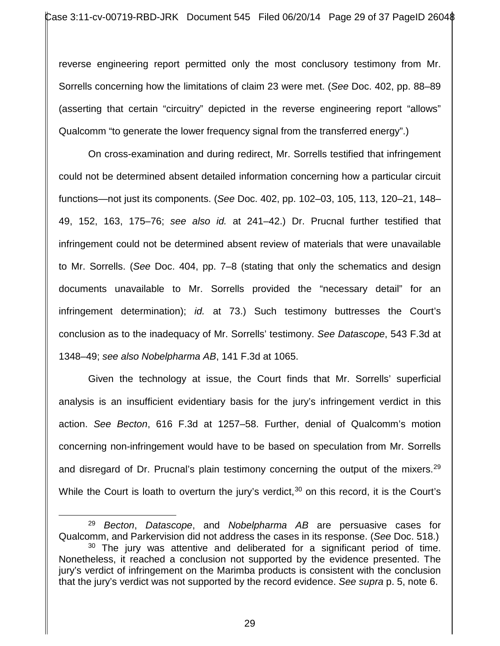reverse engineering report permitted only the most conclusory testimony from Mr. Sorrells concerning how the limitations of claim 23 were met. (*See* Doc. 402, pp. 88–89 (asserting that certain "circuitry" depicted in the reverse engineering report "allows" Qualcomm "to generate the lower frequency signal from the transferred energy".)

On cross-examination and during redirect, Mr. Sorrells testified that infringement could not be determined absent detailed information concerning how a particular circuit functions—not just its components. (*See* Doc. 402, pp. 102–03, 105, 113, 120–21, 148– 49, 152, 163, 175–76; *see also id.* at 241–42.) Dr. Prucnal further testified that infringement could not be determined absent review of materials that were unavailable to Mr. Sorrells. (*See* Doc. 404, pp. 7–8 (stating that only the schematics and design documents unavailable to Mr. Sorrells provided the "necessary detail" for an infringement determination); *id.* at 73.) Such testimony buttresses the Court's conclusion as to the inadequacy of Mr. Sorrells' testimony. *See Datascope*, 543 F.3d at 1348–49; *see also Nobelpharma AB*, 141 F.3d at 1065.

Given the technology at issue, the Court finds that Mr. Sorrells' superficial analysis is an insufficient evidentiary basis for the jury's infringement verdict in this action. *See Becton*, 616 F.3d at 1257–58. Further, denial of Qualcomm's motion concerning non-infringement would have to be based on speculation from Mr. Sorrells and disregard of Dr. Prucnal's plain testimony concerning the output of the mixers.<sup>29</sup> While the Court is loath to overturn the jury's verdict,  $30$  on this record, it is the Court's

<sup>29</sup> *Becton*, *Datascope*, and *Nobelpharma AB* are persuasive cases for Qualcomm, and Parkervision did not address the cases in its response. (*See* Doc. 518.)  $30$  The jury was attentive and deliberated for a significant period of time. Nonetheless, it reached a conclusion not supported by the evidence presented. The jury's verdict of infringement on the Marimba products is consistent with the conclusion that the jury's verdict was not supported by the record evidence. *See supra* p. 5, note 6.  $\overline{a}$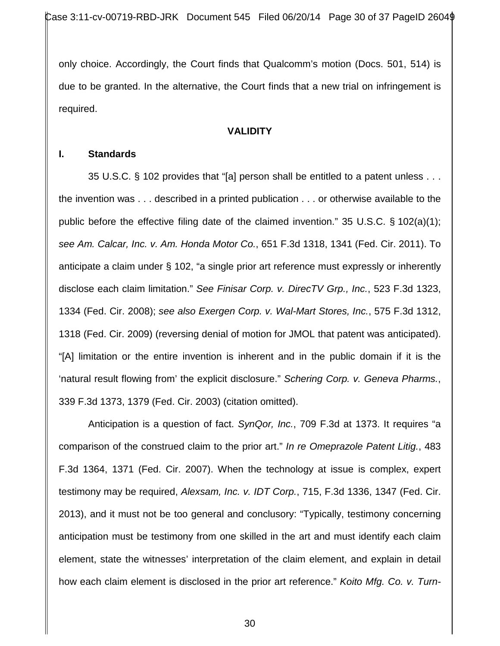only choice. Accordingly, the Court finds that Qualcomm's motion (Docs. 501, 514) is due to be granted. In the alternative, the Court finds that a new trial on infringement is required.

#### **VALIDITY**

#### **I. Standards**

35 U.S.C. § 102 provides that "[a] person shall be entitled to a patent unless . . . the invention was . . . described in a printed publication . . . or otherwise available to the public before the effective filing date of the claimed invention." 35 U.S.C. § 102(a)(1); *see Am. Calcar, Inc. v. Am. Honda Motor Co.*, 651 F.3d 1318, 1341 (Fed. Cir. 2011). To anticipate a claim under § 102, "a single prior art reference must expressly or inherently disclose each claim limitation." *See Finisar Corp. v. DirecTV Grp., Inc.*, 523 F.3d 1323, 1334 (Fed. Cir. 2008); *see also Exergen Corp. v. Wal-Mart Stores, Inc.*, 575 F.3d 1312, 1318 (Fed. Cir. 2009) (reversing denial of motion for JMOL that patent was anticipated). "[A] limitation or the entire invention is inherent and in the public domain if it is the 'natural result flowing from' the explicit disclosure." *Schering Corp. v. Geneva Pharms.*, 339 F.3d 1373, 1379 (Fed. Cir. 2003) (citation omitted).

Anticipation is a question of fact. *SynQor, Inc.*, 709 F.3d at 1373. It requires "a comparison of the construed claim to the prior art." *In re Omeprazole Patent Litig.*, 483 F.3d 1364, 1371 (Fed. Cir. 2007). When the technology at issue is complex, expert testimony may be required, *Alexsam, Inc. v. IDT Corp.*, 715, F.3d 1336, 1347 (Fed. Cir. 2013), and it must not be too general and conclusory: "Typically, testimony concerning anticipation must be testimony from one skilled in the art and must identify each claim element, state the witnesses' interpretation of the claim element, and explain in detail how each claim element is disclosed in the prior art reference." *Koito Mfg. Co. v. Turn-*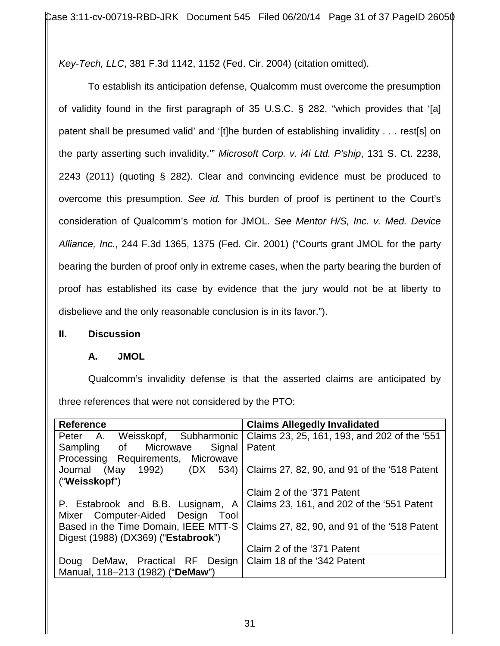*Key-Tech, LLC*, 381 F.3d 1142, 1152 (Fed. Cir. 2004) (citation omitted).

To establish its anticipation defense, Qualcomm must overcome the presumption of validity found in the first paragraph of 35 U.S.C. § 282, "which provides that '[a] patent shall be presumed valid' and '[t]he burden of establishing invalidity . . . rest[s] on the party asserting such invalidity.'" *Microsoft Corp. v. i4i Ltd. P'ship*, 131 S. Ct. 2238, 2243 (2011) (quoting § 282). Clear and convincing evidence must be produced to overcome this presumption. *See id.* This burden of proof is pertinent to the Court's consideration of Qualcomm's motion for JMOL. *See Mentor H/S, Inc. v. Med. Device Alliance, Inc.*, 244 F.3d 1365, 1375 (Fed. Cir. 2001) ("Courts grant JMOL for the party bearing the burden of proof only in extreme cases, when the party bearing the burden of proof has established its case by evidence that the jury would not be at liberty to disbelieve and the only reasonable conclusion is in its favor.").

## **II. Discussion**

## **A. JMOL**

Qualcomm's invalidity defense is that the asserted claims are anticipated by three references that were not considered by the PTO:

| <b>Reference</b>                     | <b>Claims Allegedly Invalidated</b>          |
|--------------------------------------|----------------------------------------------|
| Subharmonic<br>Peter A. Weisskopf,   | Claims 23, 25, 161, 193, and 202 of the '551 |
| Sampling of Microwave<br>Signal      | Patent                                       |
| Processing Requirements, Microwave   |                                              |
| (May<br>1992) (DX<br>Journal<br>534) | Claims 27, 82, 90, and 91 of the '518 Patent |
| ("Weisskopf")                        |                                              |
|                                      | Claim 2 of the '371 Patent                   |
| P. Estabrook and B.B. Lusignam, A    | Claims 23, 161, and 202 of the '551 Patent   |
| Mixer Computer-Aided Design<br>Tool  |                                              |
| Based in the Time Domain, IEEE MTT-S | Claims 27, 82, 90, and 91 of the '518 Patent |
| Digest (1988) (DX369) ("Estabrook")  |                                              |
|                                      | Claim 2 of the '371 Patent                   |
| Doug DeMaw, Practical RF Design      | Claim 18 of the '342 Patent                  |
| Manual, 118-213 (1982) ("DeMaw")     |                                              |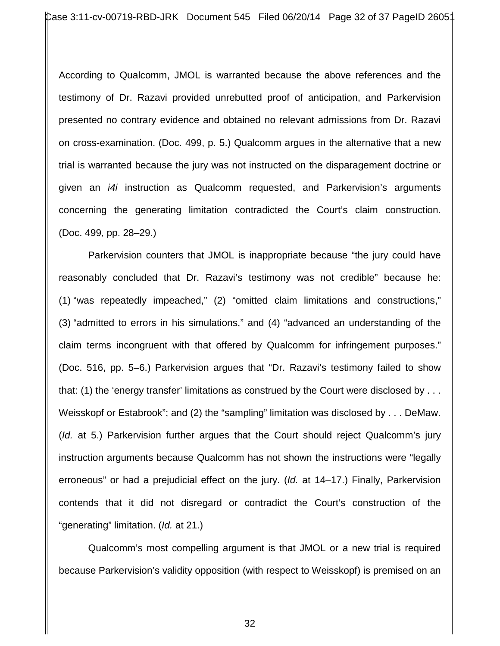According to Qualcomm, JMOL is warranted because the above references and the testimony of Dr. Razavi provided unrebutted proof of anticipation, and Parkervision presented no contrary evidence and obtained no relevant admissions from Dr. Razavi on cross-examination. (Doc. 499, p. 5.) Qualcomm argues in the alternative that a new trial is warranted because the jury was not instructed on the disparagement doctrine or given an *i4i* instruction as Qualcomm requested, and Parkervision's arguments concerning the generating limitation contradicted the Court's claim construction. (Doc. 499, pp. 28–29.)

Parkervision counters that JMOL is inappropriate because "the jury could have reasonably concluded that Dr. Razavi's testimony was not credible" because he: (1) "was repeatedly impeached," (2) "omitted claim limitations and constructions," (3) "admitted to errors in his simulations," and (4) "advanced an understanding of the claim terms incongruent with that offered by Qualcomm for infringement purposes." (Doc. 516, pp. 5–6.) Parkervision argues that "Dr. Razavi's testimony failed to show that: (1) the 'energy transfer' limitations as construed by the Court were disclosed by . . . Weisskopf or Estabrook"; and (2) the "sampling" limitation was disclosed by . . . DeMaw. (*Id.* at 5.) Parkervision further argues that the Court should reject Qualcomm's jury instruction arguments because Qualcomm has not shown the instructions were "legally erroneous" or had a prejudicial effect on the jury. (*Id.* at 14–17.) Finally, Parkervision contends that it did not disregard or contradict the Court's construction of the "generating" limitation. (*Id.* at 21.)

Qualcomm's most compelling argument is that JMOL or a new trial is required because Parkervision's validity opposition (with respect to Weisskopf) is premised on an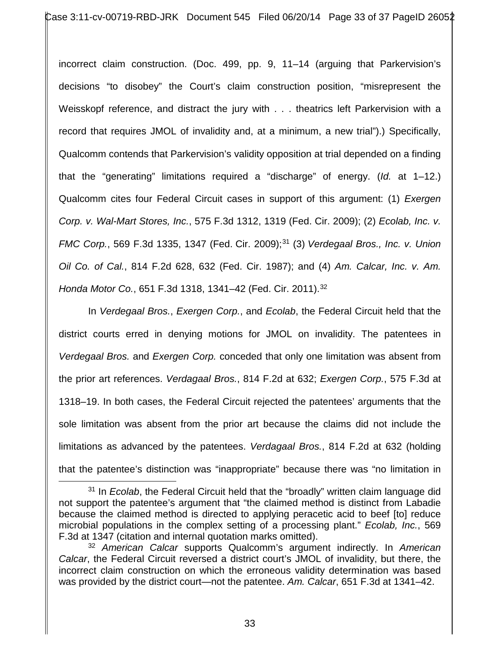incorrect claim construction. (Doc. 499, pp. 9, 11–14 (arguing that Parkervision's decisions "to disobey" the Court's claim construction position, "misrepresent the Weisskopf reference, and distract the jury with . . . theatrics left Parkervision with a record that requires JMOL of invalidity and, at a minimum, a new trial").) Specifically, Qualcomm contends that Parkervision's validity opposition at trial depended on a finding that the "generating" limitations required a "discharge" of energy. (*Id.* at 1–12.) Qualcomm cites four Federal Circuit cases in support of this argument: (1) *Exergen Corp. v. Wal-Mart Stores, Inc.*, 575 F.3d 1312, 1319 (Fed. Cir. 2009); (2) *Ecolab, Inc. v. FMC Corp.*, 569 F.3d 1335, 1347 (Fed. Cir. 2009); 31 (3) *Verdegaal Bros., Inc. v. Union Oil Co. of Cal.*, 814 F.2d 628, 632 (Fed. Cir. 1987); and (4) *Am. Calcar, Inc. v. Am. Honda Motor Co.*, 651 F.3d 1318, 1341–42 (Fed. Cir. 2011).32

In *Verdegaal Bros.*, *Exergen Corp.*, and *Ecolab*, the Federal Circuit held that the district courts erred in denying motions for JMOL on invalidity. The patentees in *Verdegaal Bros.* and *Exergen Corp.* conceded that only one limitation was absent from the prior art references. *Verdagaal Bros.*, 814 F.2d at 632; *Exergen Corp.*, 575 F.3d at 1318–19. In both cases, the Federal Circuit rejected the patentees' arguments that the sole limitation was absent from the prior art because the claims did not include the limitations as advanced by the patentees. *Verdagaal Bros.*, 814 F.2d at 632 (holding that the patentee's distinction was "inappropriate" because there was "no limitation in

<sup>31</sup> In *Ecolab*, the Federal Circuit held that the "broadly" written claim language did not support the patentee's argument that "the claimed method is distinct from Labadie because the claimed method is directed to applying peracetic acid to beef [to] reduce microbial populations in the complex setting of a processing plant." *Ecolab, Inc.*, 569 F.3d at <sup>1347</sup> (citation and internal quotation marks omitted). 32 *American Calcar* supports Qualcomm's argument indirectly. In *American*  $\overline{a}$ 

*Calcar*, the Federal Circuit reversed a district court's JMOL of invalidity, but there, the incorrect claim construction on which the erroneous validity determination was based was provided by the district court—not the patentee. *Am. Calcar*, 651 F.3d at 1341–42.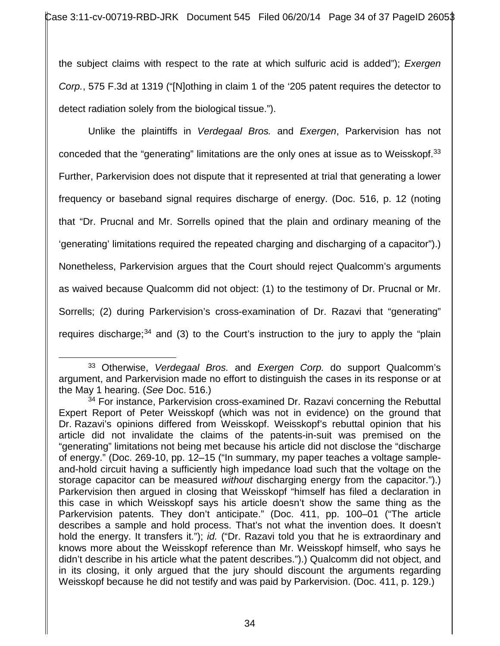the subject claims with respect to the rate at which sulfuric acid is added"); *Exergen Corp.*, 575 F.3d at 1319 ("[N]othing in claim 1 of the '205 patent requires the detector to detect radiation solely from the biological tissue.").

Unlike the plaintiffs in *Verdegaal Bros.* and *Exergen*, Parkervision has not conceded that the "generating" limitations are the only ones at issue as to Weisskopf.<sup>33</sup> Further, Parkervision does not dispute that it represented at trial that generating a lower frequency or baseband signal requires discharge of energy. (Doc. 516, p. 12 (noting that "Dr. Prucnal and Mr. Sorrells opined that the plain and ordinary meaning of the 'generating' limitations required the repeated charging and discharging of a capacitor").) Nonetheless, Parkervision argues that the Court should reject Qualcomm's arguments as waived because Qualcomm did not object: (1) to the testimony of Dr. Prucnal or Mr. Sorrells; (2) during Parkervision's cross-examination of Dr. Razavi that "generating" requires discharge; $34$  and (3) to the Court's instruction to the jury to apply the "plain

<sup>33</sup> Otherwise, *Verdegaal Bros.* and *Exergen Corp.* do support Qualcomm's argument, and Parkervision made no effort to distinguish the cases in its response or at the May 1 hearing. (*See* Doc. 516.)  $\overline{a}$ 

 $34$  For instance, Parkervision cross-examined Dr. Razavi concerning the Rebuttal Expert Report of Peter Weisskopf (which was not in evidence) on the ground that Dr. Razavi's opinions differed from Weisskopf. Weisskopf's rebuttal opinion that his article did not invalidate the claims of the patents-in-suit was premised on the "generating" limitations not being met because his article did not disclose the "discharge of energy." (Doc. 269-10, pp. 12–15 ("In summary, my paper teaches a voltage sampleand-hold circuit having a sufficiently high impedance load such that the voltage on the storage capacitor can be measured *without* discharging energy from the capacitor.").) Parkervision then argued in closing that Weisskopf "himself has filed a declaration in this case in which Weisskopf says his article doesn't show the same thing as the Parkervision patents. They don't anticipate." (Doc. 411, pp. 100–01 ("The article describes a sample and hold process. That's not what the invention does. It doesn't hold the energy. It transfers it."); *id.* ("Dr. Razavi told you that he is extraordinary and knows more about the Weisskopf reference than Mr. Weisskopf himself, who says he didn't describe in his article what the patent describes.").) Qualcomm did not object, and in its closing, it only argued that the jury should discount the arguments regarding Weisskopf because he did not testify and was paid by Parkervision. (Doc. 411, p. 129.)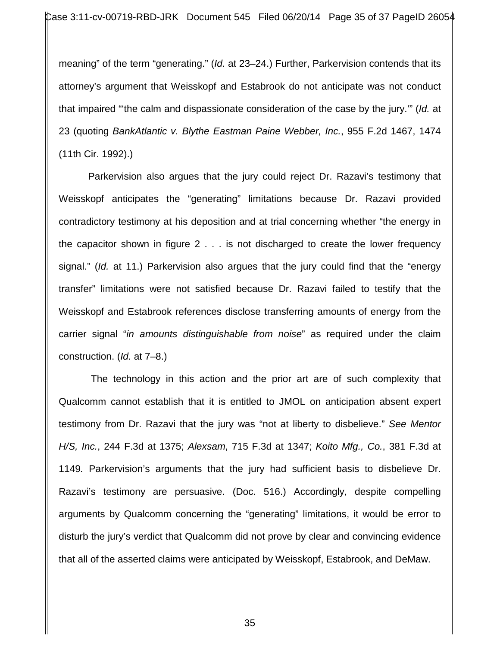meaning" of the term "generating." (*Id.* at 23–24.) Further, Parkervision contends that its attorney's argument that Weisskopf and Estabrook do not anticipate was not conduct that impaired "'the calm and dispassionate consideration of the case by the jury.'" (*Id.* at 23 (quoting *BankAtlantic v. Blythe Eastman Paine Webber, Inc.*, 955 F.2d 1467, 1474 (11th Cir. 1992).)

Parkervision also argues that the jury could reject Dr. Razavi's testimony that Weisskopf anticipates the "generating" limitations because Dr. Razavi provided contradictory testimony at his deposition and at trial concerning whether "the energy in the capacitor shown in figure 2 . . . is not discharged to create the lower frequency signal." (*Id.* at 11.) Parkervision also argues that the jury could find that the "energy transfer" limitations were not satisfied because Dr. Razavi failed to testify that the Weisskopf and Estabrook references disclose transferring amounts of energy from the carrier signal "*in amounts distinguishable from noise*" as required under the claim construction. (*Id.* at 7–8.)

 The technology in this action and the prior art are of such complexity that Qualcomm cannot establish that it is entitled to JMOL on anticipation absent expert testimony from Dr. Razavi that the jury was "not at liberty to disbelieve." *See Mentor H/S, Inc.*, 244 F.3d at 1375; *Alexsam*, 715 F.3d at 1347; *Koito Mfg., Co.*, 381 F.3d at 1149*.* Parkervision's arguments that the jury had sufficient basis to disbelieve Dr. Razavi's testimony are persuasive. (Doc. 516.) Accordingly, despite compelling arguments by Qualcomm concerning the "generating" limitations, it would be error to disturb the jury's verdict that Qualcomm did not prove by clear and convincing evidence that all of the asserted claims were anticipated by Weisskopf, Estabrook, and DeMaw.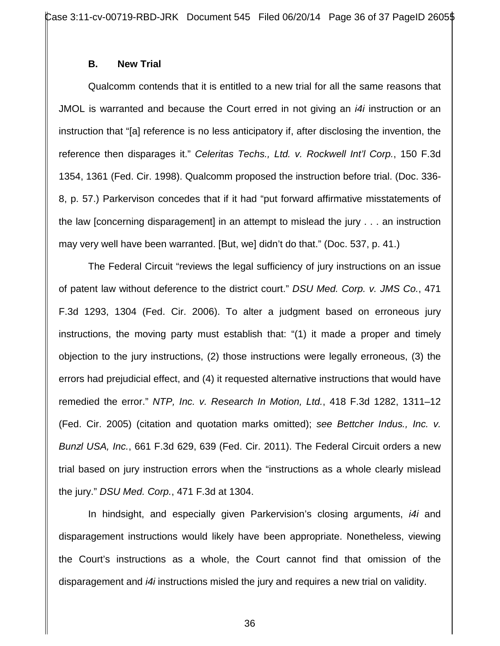#### **B. New Trial**

Qualcomm contends that it is entitled to a new trial for all the same reasons that JMOL is warranted and because the Court erred in not giving an *i4i* instruction or an instruction that "[a] reference is no less anticipatory if, after disclosing the invention, the reference then disparages it." *Celeritas Techs., Ltd. v. Rockwell Int'l Corp.*, 150 F.3d 1354, 1361 (Fed. Cir. 1998). Qualcomm proposed the instruction before trial. (Doc. 336- 8, p. 57.) Parkervison concedes that if it had "put forward affirmative misstatements of the law [concerning disparagement] in an attempt to mislead the jury . . . an instruction may very well have been warranted. [But, we] didn't do that." (Doc. 537, p. 41.)

The Federal Circuit "reviews the legal sufficiency of jury instructions on an issue of patent law without deference to the district court." *DSU Med. Corp. v. JMS Co.*, 471 F.3d 1293, 1304 (Fed. Cir. 2006). To alter a judgment based on erroneous jury instructions, the moving party must establish that: "(1) it made a proper and timely objection to the jury instructions, (2) those instructions were legally erroneous, (3) the errors had prejudicial effect, and (4) it requested alternative instructions that would have remedied the error." *NTP, Inc. v. Research In Motion, Ltd.*, 418 F.3d 1282, 1311–12 (Fed. Cir. 2005) (citation and quotation marks omitted); *see Bettcher Indus., Inc. v. Bunzl USA, Inc.*, 661 F.3d 629, 639 (Fed. Cir. 2011). The Federal Circuit orders a new trial based on jury instruction errors when the "instructions as a whole clearly mislead the jury." *DSU Med. Corp.*, 471 F.3d at 1304.

In hindsight, and especially given Parkervision's closing arguments, *i4i* and disparagement instructions would likely have been appropriate. Nonetheless, viewing the Court's instructions as a whole, the Court cannot find that omission of the disparagement and *i4i* instructions misled the jury and requires a new trial on validity.